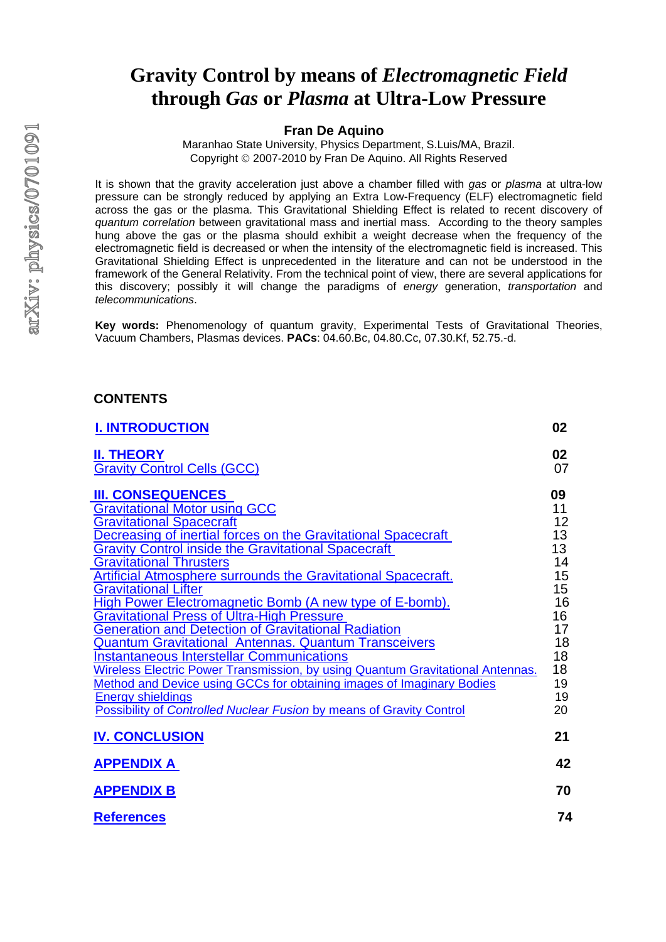# **Gravity Control by means of** *Electromagnetic Field* **through** *Gas* **or** *Plasma* **at Ultra-Low Pressure**

#### **Fran De Aquino**

Maranhao State University, Physics Department, S.Luis/MA, Brazil. Copyright © 2007-2010 by Fran De Aquino. All Rights Reserved

It is shown that the gravity acceleration just above a chamber filled with *gas* or *plasma* at ultra-low pressure can be strongly reduced by applying an Extra Low-Frequency (ELF) electromagnetic field across the gas or the plasma. This Gravitational Shielding Effect is related to recent discovery of *quantum correlation* between gravitational mass and inertial mass. According to the theory samples hung above the gas or the plasma should exhibit a weight decrease when the frequency of the electromagnetic field is decreased or when the intensity of the electromagnetic field is increased. This Gravitational Shielding Effect is unprecedented in the literature and can not be understood in the framework of the General Relativity. From the technical point of view, there are several applications for this discovery; possibly it will change the paradigms of *energy* generation, *transportation* and *telecommunications*.

**Key words:** Phenomenology of quantum gravity, Experimental Tests of Gravitational Theories, Vacuum Chambers, Plasmas devices. **PACs**: 04.60.Bc, 04.80.Cc, 07.30.Kf, 52.75.-d.

### **CONTENTS**

| <b>I. INTRODUCTION</b>                                                                                                                                                                                                                                                                                                                                                                                                                                                                                                                                                                                                                                                                                                                                                                                                                                                                                                               | 02                                                                                                 |
|--------------------------------------------------------------------------------------------------------------------------------------------------------------------------------------------------------------------------------------------------------------------------------------------------------------------------------------------------------------------------------------------------------------------------------------------------------------------------------------------------------------------------------------------------------------------------------------------------------------------------------------------------------------------------------------------------------------------------------------------------------------------------------------------------------------------------------------------------------------------------------------------------------------------------------------|----------------------------------------------------------------------------------------------------|
| <b>II. THEORY</b><br><b>Gravity Control Cells (GCC)</b>                                                                                                                                                                                                                                                                                                                                                                                                                                                                                                                                                                                                                                                                                                                                                                                                                                                                              | 02<br>07                                                                                           |
| <b>III. CONSEQUENCES</b><br><b>Gravitational Motor using GCC</b><br><b>Gravitational Spacecraft</b><br>Decreasing of inertial forces on the Gravitational Spacecraft<br><b>Gravity Control inside the Gravitational Spacecraft</b><br><b>Gravitational Thrusters</b><br><b>Artificial Atmosphere surrounds the Gravitational Spacecraft.</b><br><b>Gravitational Lifter</b><br>High Power Electromagnetic Bomb (A new type of E-bomb).<br><b>Gravitational Press of Ultra-High Pressure</b><br>Generation and Detection of Gravitational Radiation<br>Quantum Gravitational Antennas. Quantum Transceivers<br><b>Instantaneous Interstellar Communications</b><br>Wireless Electric Power Transmission, by using Quantum Gravitational Antennas.<br>Method and Device using GCCs for obtaining images of Imaginary Bodies<br><b>Energy shieldings</b><br><b>Possibility of Controlled Nuclear Fusion by means of Gravity Control</b> | 09<br>11<br>12<br>13<br>13<br>14<br>15<br>15<br>16<br>16<br>17<br>18<br>18<br>18<br>19<br>19<br>20 |
| <b>IV. CONCLUSION</b>                                                                                                                                                                                                                                                                                                                                                                                                                                                                                                                                                                                                                                                                                                                                                                                                                                                                                                                | 21                                                                                                 |
| <b>APPENDIX A</b>                                                                                                                                                                                                                                                                                                                                                                                                                                                                                                                                                                                                                                                                                                                                                                                                                                                                                                                    | 42                                                                                                 |
| <b>APPENDIX B</b>                                                                                                                                                                                                                                                                                                                                                                                                                                                                                                                                                                                                                                                                                                                                                                                                                                                                                                                    | 70                                                                                                 |
| <b>References</b>                                                                                                                                                                                                                                                                                                                                                                                                                                                                                                                                                                                                                                                                                                                                                                                                                                                                                                                    | 74                                                                                                 |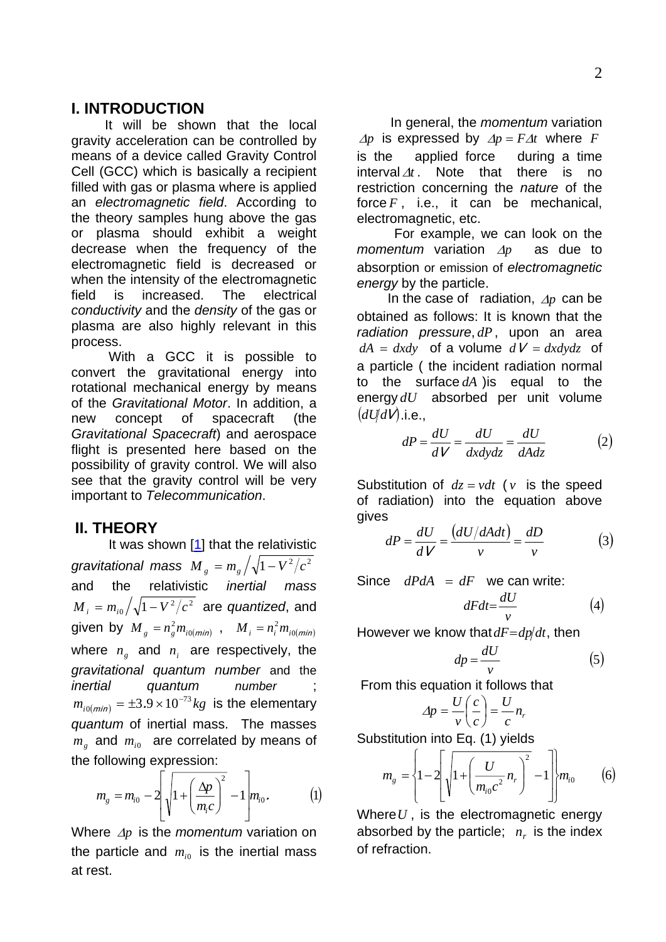## <span id="page-1-0"></span>**I. INTRODUCTION**

 It will be shown that the local gravity acceleration can be controlled by means of a device called Gravity Control Cell (GCC) which is basically a recipient filled with gas or plasma where is applied an *electromagnetic field*. According to the theory samples hung above the gas or plasma should exhibit a weight decrease when the frequency of the electromagnetic field is decreased or when the intensity of the electromagnetic field is increased. The electrical *conductivity* and the *density* of the gas or plasma are also highly relevant in this process.

 With a GCC it is possible to convert the gravitational energy into rotational mechanical energy by means of the *Gravitational Motor*. In addition, a new concept of spacecraft (the *Gravitational Spacecraft*) and aerospace flight is presented here based on the possibility of gravity control. We will also see that the gravity control will be very important to *Telecommunication*.

## **II. THEORY**

It was shown [\[1](#page--1-0)] that the relativistic *gravitational mass M*  $_{s}$  =  $m_{_{g}}/\sqrt{1-V^{2}/c^{2}}$ and the relativistic *inertial mass*   $M_{i} = m_{i0} \big/ \sqrt{1 - V^{2} / c^{2}}$  are *quantized*, and given by  $M_{g} = n_{g}^{2} m_{i0(min)}$ ,  $M_{i} = n_{i}^{2} m_{i0(min)}$ where  $n_g$  and  $n_i$  are respectively, the *gravitational quantum number* and the *inertial quantum number* ;  $m_{i0(min)} = \pm 3.9 \times 10^{-73} kg$  is the elementary *quantum* of inertial mass. The masses  $m_{g}$  and  $m_{i0}$  are correlated by means of the following expression:

$$
m_{g} = m_{i0} - 2 \left[ \sqrt{1 + \left( \frac{\Delta p}{m_{i}c} \right)^{2}} - 1 \right] m_{i0}.
$$
 (1)

Where Δ*p* is the *momentum* variation on the particle and  $m_{i0}$  is the inertial mass at rest.

 In general, the *momentum* variation  $\Delta p$  is expressed by  $\Delta p = F \Delta t$  where F is the applied force during a time  $interval \Delta t$ . Note that there is no restriction concerning the *nature* of the force  $F$ , i.e., it can be mechanical, electromagnetic, etc.

 For example, we can look on the *momentum* variation Δ*p* as due to absorption or emission of *electromagnetic energy* by the particle.

 In the case of radiation, Δ*p* can be obtained as follows: It is known that the *radiation pressure*, *dP*, upon an area  $dA = dxdy$  of a volume  $dV = dxdydz$  of a particle ( the incident radiation normal to the surface  $dA$  ) is equal to the energy dU absorbed per unit volume  $(dU dV)$ .i.e.,

$$
dP = \frac{dU}{dV} = \frac{dU}{dxdydz} = \frac{dU}{dAdz}
$$
 (2)

Substitution of  $dz = vdt$  (*v* is the speed of radiation) into the equation above gives

$$
dP = \frac{dU}{dV} = \frac{(dU/dAdt)}{v} = \frac{dD}{v}
$$
(3)

Since  $dPdA = dF$  we can write:

$$
dFdt = \frac{dU}{v} \tag{4}
$$

However we know that  $dF = dp/dt$ , then

$$
dp = \frac{dU}{v} \tag{5}
$$

From this equation it follows that

$$
\Delta p = \frac{U}{v} \left( \frac{c}{c} \right) = \frac{U}{c} n_r
$$

Substitution into Eq. (1) yields

$$
m_{g} = \left\{1 - 2\left[\sqrt{1 + \left(\frac{U}{m_{i0}c^{2}}n_{r}\right)^{2}} - 1\right]m_{i0}\right\}
$$
 (6)

Where*U* , is the electromagnetic energy absorbed by the particle;  $n_r$  is the index of refraction.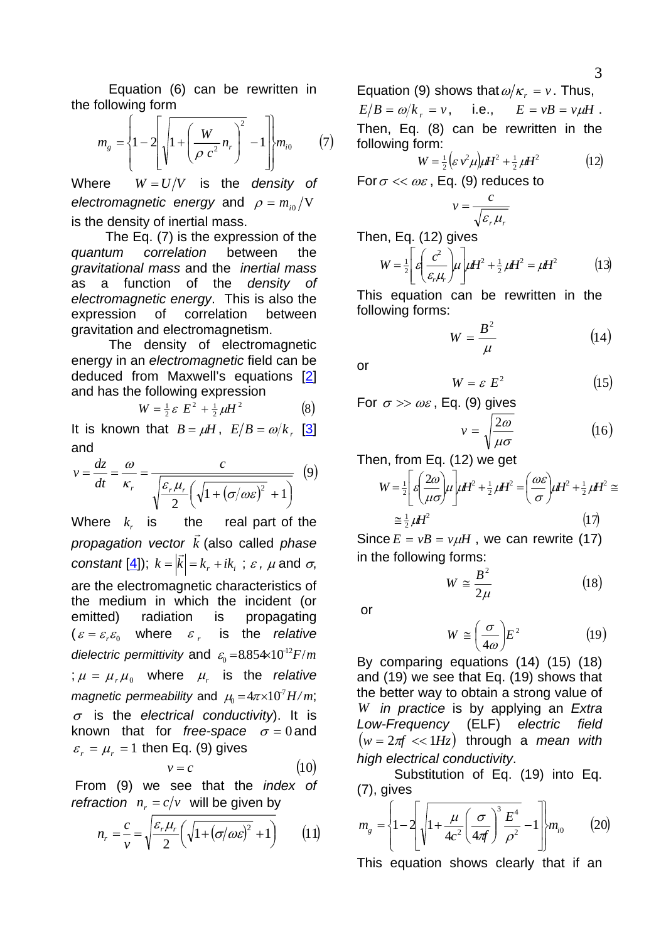Equation (6) can be rewritten in the following form

$$
m_{g} = \left\{1 - 2\left[\sqrt{1 + \left(\frac{W}{\rho c^{2}}n_{r}\right)^{2}} - 1\right]m_{i0} \qquad (7)
$$

Where  $W = U/V$  is the *density* of *electromagnetic energy* and  $\rho = m_{i0} / V$ is the density of inertial mass.

 The Eq. (7) is the expression of the *quantum correlation* between the *gravitational mass* and the *inertial mass*  as a function of the *density of electromagnetic energy*. This is also the expression of correlation between gravitation and electromagnetism.

 The density of electromagnetic energy in an *electromagnetic* field can be deduced from Maxwell's equations [\[2\]](#page--1-0) and has the following expression

$$
W = \frac{1}{2} \varepsilon E^2 + \frac{1}{2} \mu H^2
$$
 (8)

It is known that  $B = \mu H$ ,  $E/B = \omega/k$ , [\[3\]](#page--1-0) and

$$
v = \frac{dz}{dt} = \frac{\omega}{\kappa_r} = \frac{c}{\sqrt{\frac{\varepsilon_r \mu_r}{2} \left( \sqrt{1 + (\sigma/\omega \varepsilon)^2} + 1 \right)}} \tag{9}
$$

Where  $k_{r}$  is the real part of the *propagation vector k* r (also called *phase constant* [<u>4</u>]);  $k = |\vec{k}| = k_r + ik_i$ ;  $\varepsilon$ ,  $\mu$  and  $\sigma$ , are the electromagnetic characteristics of the medium in which the incident (or emitted) radiation is propagating  $(\varepsilon = \varepsilon_r \varepsilon_0$  where  $\varepsilon_r$  is the *relative dielectric permittivity* and  $\varepsilon_0 = 8.854 \times 10^{-12} F/m$ ;  $\mu = \mu_r \mu_0$  where  $\mu_r$  is the *relative magnetic permeability* and  $\mu_0 = 4\pi \times 10^7 H/m$ ; <sup>σ</sup> is the *electrical conductivity*). It is known that for *free-space*  $\sigma = 0$  and  $\varepsilon_r = \mu_r = 1$  then Eq. (9) gives

$$
v = c \tag{10}
$$

 From (9) we see that the *index of refraction*  $n_r = c/v$  will be given by

$$
n_r = \frac{c}{v} = \sqrt{\frac{\varepsilon_r \mu_r}{2} \left( \sqrt{1 + (\sigma/\omega \varepsilon)^2} + 1 \right)} \qquad (11)
$$

Equation (9) shows that  $\omega/\kappa_r = v$ . Thus,  $E/B = \omega/k_A = v$ , i.e.,  $E = vB = v\mu H$ . Then, Eq. (8) can be rewritten in the following form:

$$
W = \frac{1}{2} \left( \varepsilon \, v^2 \mu \right) \mu H^2 + \frac{1}{2} \, \mu H^2 \tag{12}
$$

For  $\sigma \ll \omega \varepsilon$ , Eq. (9) reduces to

$$
v = \frac{c}{\sqrt{\varepsilon_r \mu_r}}
$$

Then, Eq. (12) gives

$$
W = \frac{1}{2} \left[ \varepsilon \left( \frac{c^2}{\varepsilon_r \mu_r} \right) \mu \right] \mu H^2 + \frac{1}{2} \mu H^2 = \mu H^2 \tag{13}
$$

This equation can be rewritten in the following forms:

$$
W = \frac{B^2}{\mu} \tag{14}
$$

or

$$
W = \varepsilon \ E^2 \tag{15}
$$

For  $\sigma \gg \omega \varepsilon$ , Eq. (9) gives

$$
v = \sqrt{\frac{2\omega}{\mu\sigma}}\tag{16}
$$

Then, from Eq. (12) we get

$$
W = \frac{1}{2} \left[ \varepsilon \left( \frac{2\omega}{\mu \sigma} \right) \mu \right] \mu H^2 + \frac{1}{2} \mu H^2 = \left( \frac{\omega \varepsilon}{\sigma} \right) \mu H^2 + \frac{1}{2} \mu H^2 \approx
$$
  
 
$$
\approx \frac{1}{2} \mu H^2 \tag{17}
$$

Since  $E = vB = v\mu H$ , we can rewrite (17) in the following forms:

$$
W \cong \frac{B^2}{2\mu} \tag{18}
$$

or

$$
W \cong \left(\frac{\sigma}{4\omega}\right) E^2 \tag{19}
$$

By comparing equations (14) (15) (18) and (19) we see that Eq. (19) shows that the better way to obtain a strong value of *in practice* is by applying an *Extra W Low-Frequency* (ELF) *electric field*  $(w = 2\pi f \ll 1Hz)$  through a *mean with high electrical conductivity*.

 Substitution of Eq. (19) into Eq. (7), gives

$$
m_{g} = \left\{1 - 2\left[\sqrt{1 + \frac{\mu}{4c^{2}}\left(\frac{\sigma}{4\pi f}\right)^{3}\frac{E^{4}}{\rho^{2}}} - 1\right]m_{i0} \qquad (20)
$$

This equation shows clearly that if an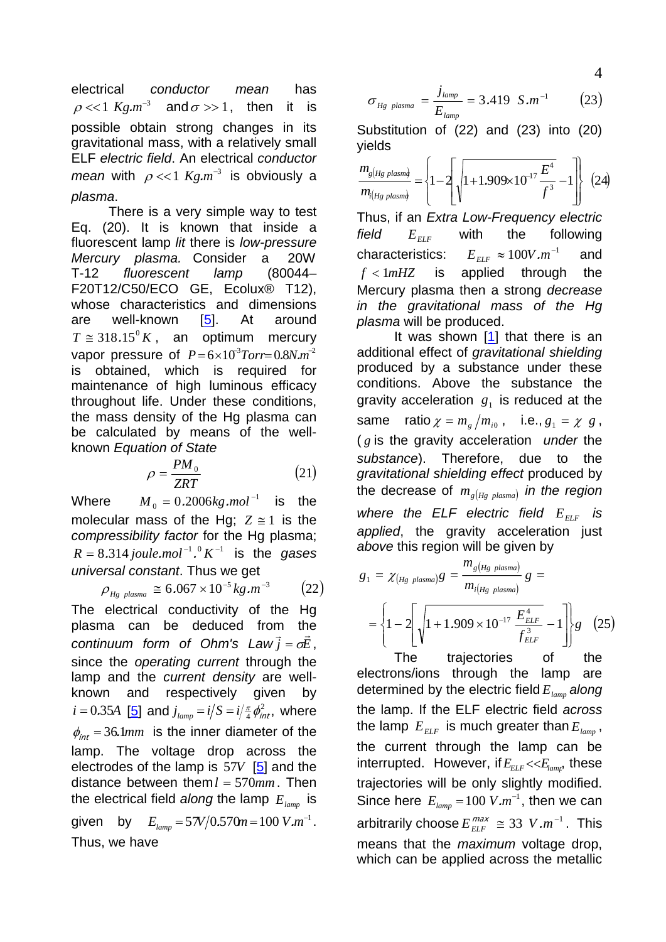electrical *conductor mean* has  $\rho \ll 1$   $Kg.m^{-3}$  and  $\sigma >> 1$ , then it is possible obtain strong changes in its gravitational mass, with a relatively small ELF *electric field*. An electrical *conductor mean* with  $\rho \ll 1$   $Kg.m^{-3}$  is obviously a *plasma*.

 There is a very simple way to test Eq. (20). It is known that inside a fluorescent lamp *lit* there is *low-pressure Mercury plasma.* Consider a 20W T-12 *fluorescent lamp* (80044– F20T12/C50/ECO GE, Ecolux® T12), whose characteristics and dimensions are well-known [\[5](#page--1-0)]. At around  $T \approx 318.15^{\circ} K$ , an optimum mercury vapor pressure of  $P = 6 \times 10^3$ Torr=0.8N.m<sup>-2</sup> is obtained, which is required for maintenance of high luminous efficacy throughout life. Under these conditions, the mass density of the Hg plasma can be calculated by means of the wellknown *Equation of State*

$$
\rho = \frac{PM_0}{ZRT} \tag{21}
$$

Where  $M_0 = 0.2006 kg$ *.mol*<sup>-1</sup> is the molecular mass of the Hg;  $Z \cong 1$  is the *compressibility factor* for the Hg plasma;  $R = 8.314 \text{ joule.mol}^{-1}$ .<sup>0</sup>  $K^{-1}$  is the gases *universal constant*. Thus we get

$$
\rho_{Hg \; plasma} \cong 6.067 \times 10^{-5} \, kg.m^{-3} \qquad (22)
$$

The electrical conductivity of the Hg plasma can be deduced from the *continuum form of Ohm's Law*  $\vec{i} = \sigma \vec{E}$ . since the *operating current* through the lamp and the *current density* are wellknown and respectively given by  $i = 0.35$ A [[5\]](#page--1-0) and  $j_{\text{lamp}} = i/S = i/\frac{\pi}{4} \phi_{\text{int}}^2$ , where  $\phi_{int} = 36.1$ *mm* is the inner diameter of the lamp. The voltage drop across the electrodes of the lamp is 57*V* [\[5\]](#page--1-0) and the distance between them  $l = 570$ mm. Then the electrical field *along* the lamp  $E_{_{lamp}}$  is given by  $E_{lamp} = 57V/0.570m = 100 V.m^{-1}$ . Thus, we have

$$
\sigma_{Hg \; plasma} = \frac{j_{lamp}}{E_{lamp}} = 3.419 \; S.m^{-1} \qquad (23)
$$

Substitution of (22) and (23) into (20) yields

$$
\frac{m_{g(Hg\;plasm\phi)}}{m_{i(Hg\;plasm\phi)}} = \left\{1 - 2\left[\sqrt{1 + 1.909 \times 10^{-17} \frac{E^4}{f^3}} - 1\right]\right\} (24)
$$

Thus, if an *Extra Low-Frequency electric field*  $E_{EIF}$  with the following characteristics:  $E_{\text{ELF}} \approx 100 V.m^{-1}$  and  $E_{ELF}$  $f$  <  $1mHz$  is applied through the Mercury plasma then a strong *decrease in the gravitational mass of the Hg plasma* will be produced.

It was shown [[1\]](#page--1-0) that there is an additional effect of *gravitational shielding* produced by a substance under these conditions. Above the substance the gravity acceleration  $g_1$  is reduced at the same ratio  $\chi = m_g/m_{i0}$ , i.e.,  $g_1 = \chi g$ , ( *g* is the gravity acceleration *under* the *substance*). Therefore, due to the *gravitational shielding effect* produced by the decrease of  $m_{g(Hg$  plasma) in the region where the  $ELF$  electric field  $E_{ELF}$  is *applied*, the gravity acceleration just *above* this region will be given by

$$
g_1 = \chi_{(Hg \text{ plasma})}g = \frac{m_{g(Hg \text{ plasma})}}{m_{i(Hg \text{ plasma})}}g =
$$
  
= 
$$
\left\{1 - 2\left[\sqrt{1 + 1.909 \times 10^{-17} \frac{E_{ELF}^4}{f_{ELF}^3}} - 1\right]\right\}g
$$
 (25)

 The trajectories of the electrons/ions through the lamp are determined by the electric field  $E_{_{lamp}}$  along the lamp. If the ELF electric field *across* the lamp  $E_{_{ELF}}$  is much greater than  $E_{_{lamp}}$ , the current through the lamp can be interrupted. However, if  $E_{ELF} < E_{lamp}$ , these trajectories will be only slightly modified. Since here  $E_{lamp} = 100$   $V.m^{-1}$ , then we can arbitrarily choose  $E_{\text{ELF}}^{\text{max}} \cong 33 \text{ V.m}^{-1}$ . This means that the *maximum* voltage drop, which can be applied across the metallic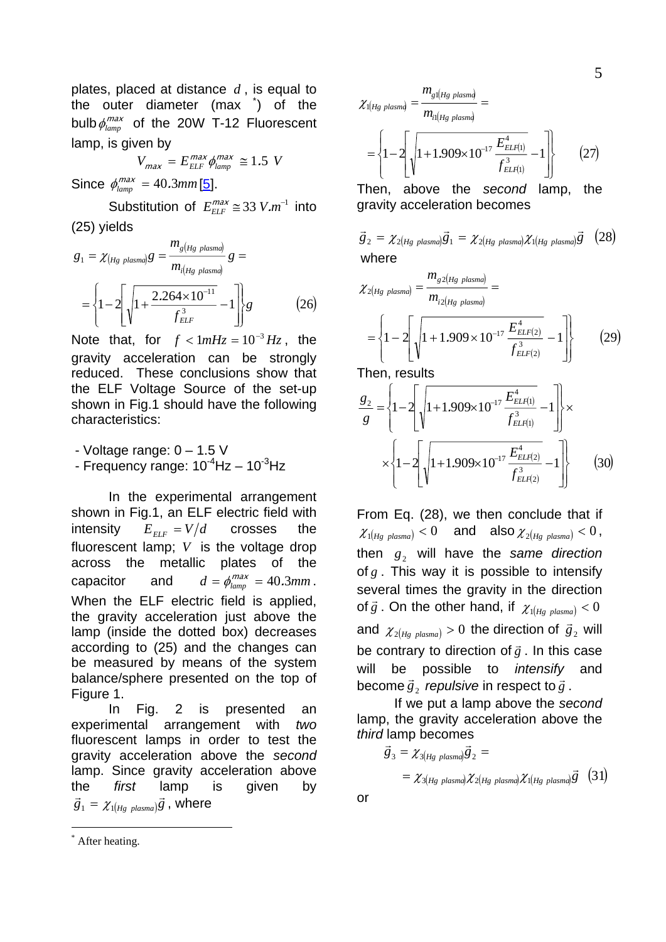plates, placed at distance *d* , is equal to the outer diameter (max [\\*](#page-4-0) ) of the bulb  $\phi_{\text{lamp}}^{\text{max}}$  of the 20W T-12 Fluorescent lamp, is given by

$$
V_{max} = E_{ELF}^{max} \phi_{lamp}^{max} \approx 1.5 \text{ V}
$$

Since  $\phi_{\text{lamp}}^{\text{max}} = 40.3 \text{mm}$  [[5](#page--1-0)].

Substitution of  $E_{\text{ELF}}^{\text{max}} \cong 33 \text{ V.m}^{-1}$  into (25) yields

$$
g_1 = \chi_{(Hg \text{ plasma})}g = \frac{m_{g(Hg \text{ plasma})}}{m_{i(Hg \text{ plasma})}}g =
$$

$$
= \left\{1 - 2\left[\sqrt{1 + \frac{2.264 \times 10^{-11}}{f_{ELF}^3}} - 1\right]\right\}g
$$
(26)

Note that, for  $f < 1mHz = 10^{-3} Hz$ , the gravity acceleration can be strongly reduced. These conclusions show that the ELF Voltage Source of the set-up shown in Fig.1 should have the following characteristics:

- Voltage range:  $0 - 1.5$  V - Frequency range:  $10^{-4}$ Hz –  $10^{-3}$ Hz

 In the experimental arrangement shown in Fig.1, an ELF electric field with intensity  $E_{ELF} = V/d$  crosses the fluorescent lamp; *V* is the voltage drop across the metallic plates of the capacitor and  $d = \phi_{\text{lamp}}^{max} = 40.3 \text{mm}$ . When the ELF electric field is applied, the gravity acceleration just above the lamp (inside the dotted box) decreases according to (25) and the changes can be measured by means of the system balance/sphere presented on the top of Figure 1.

 In Fig. 2 is presented an experimental arrangement with *two* fluorescent lamps in order to test the gravity acceleration above the *second* lamp. Since gravity acceleration above the *first* lamp is given by  $\vec{g}_1 = \chi_{1(Hg\; plasma)}\vec{g}$ , where

Then, above the *second* lamp, the gravity acceleration becomes

$$
\vec{g}_2 = \chi_{2(Hg\;plasma)}\vec{g}_1 = \chi_{2(Hg\;plasma)}\chi_{1(Hg\;plasma)}\vec{g}
$$
 (28)  
where

$$
\chi_{2(Hg\;plasma)} = \frac{m_{g2(Hg\;plasma)}}{m_{i2(Hg\;plasma)}} =
$$
\n
$$
= \left\{ 1 - 2 \left[ \sqrt{1 + 1.909 \times 10^{-17} \frac{E_{ELF(2)}^4}{f_{ELF(2)}^3}} - 1 \right] \right\} \tag{29}
$$

Then, results

$$
\frac{g_2}{g} = \left\{ 1 - 2 \left[ \sqrt{1 + 1.909 \times 10^{-17} \frac{E_{ELF(1)}^4}{f_{ELF(1)}^3}} - 1 \right] \right\} \times \left\{ 1 - 2 \left[ \sqrt{1 + 1.909 \times 10^{-17} \frac{E_{ELF(2)}^4}{f_{ELF(2)}^3}} - 1 \right] \right\}
$$
(30)

From Eq. (28), we then conclude that if  $\chi_{\alpha\mu_{g \; plasma}}$  < 0 and also  $\chi_{\alpha\mu_{g \; plasma}}$  < 0, then  $g_2$  will have the same direction of  $g$ . This way it is possible to intensify several times the gravity in the direction of  $\vec{g}$  . On the other hand, if  $\chi_{1(Hg~plasma)} < 0$ and  $\chi_{2(Hg_{plasma})}$  > 0 the direction of  $\vec{g}_2$  will be contrary to direction of  $\vec{g}$  . In this case will be possible to *intensify* and become  $\vec{g}_2$  *repulsive* in respect to  $\vec{g}$ .

 If we put a lamp above the *second* lamp, the gravity acceleration above the *third* lamp becomes

$$
\vec{g}_3 = \chi_{3(Hg\ plasm}) \vec{g}_2 =
$$
  
=  $\chi_{3(Hg\ plasm)}$   $\chi_{2(Hg\ plasm)}$   $\chi_{1(Hg\ plasm)}$   $\vec{g}$  (31)

or

-

 $(Hg$  plasmd  $(Hg$  plasma il(Hg plasma 11  $\left\{ \left| \left( 1+1.909 \times 10^{-17} \frac{-E L F(1)}{f_{EL}^3} - 1 \right) \right| \right\}$  (27) 1 4  $E_{LLF(1)}$ 1  $\gamma_{1(Hg\; plasma)} = \frac{g_{1(Hg\;pusing)}}{g_{1(Hg\;pusing)}}$ ⎪ ⎭ ⎪ ⎬ ⎫  $\overline{\mathcal{L}}$  $\frac{1}{2}$ ⎨  $\sqrt{ }$ ⎥ ⎥  $\overline{\phantom{a}}$ ⎤  $\mathsf{I}$  $\overline{\phantom{a}}$ ⎣  $\mathsf I$  $=\left\{1-2\right\}$ ,  $\left|1+1.909\times10^{-17}\right|^{2}$ *ELF ELF*  $i$ l(*Hg plasma plasmaHgg Hg* plasm $\frac{1}{m}$ *f*  $.909\times10^{-17}\frac{E}{A}$ *m* χ

<span id="page-4-0"></span><sup>\*</sup> After heating.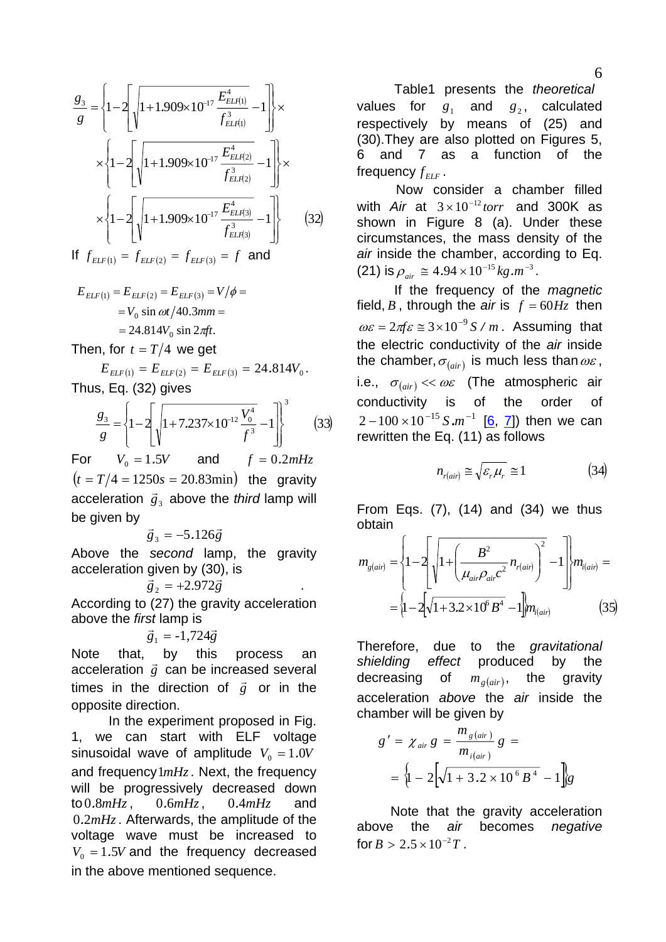$$
\frac{g_3}{g} = \left\{ 1 - 2 \left[ \sqrt{1 + 1.909 \times 10^{-17} \frac{E_{ELI(1)}^4}{f_{ELI(1)}^3}} - 1 \right] \right\} \times \left\{ 1 - 2 \left[ \sqrt{1 + 1.909 \times 10^{-17} \frac{E_{ELI(2)}^4}{f_{ELI(2)}^3}} - 1 \right] \right\} \times \left\{ 1 - 2 \left[ \sqrt{1 + 1.909 \times 10^{-17} \frac{E_{ELI(3)}^4}{f_{ELI(3)}^3}} - 1 \right] \right\} \tag{32}
$$

If  $f_{ELF(1)} = f_{ELF(2)} = f_{ELF(3)} = f$  and

$$
E_{ELF(1)} = E_{ELF(2)} = E_{ELF(3)} = V/\phi =
$$
  
=  $V_0 \sin \omega t / 40.3 \text{mm} =$   
= 24.814 $V_0 \sin 2\pi ft$ .

Then, for  $t = T/4$  we get

$$
E_{\text{ELF}(1)} = E_{\text{ELF}(2)} = E_{\text{ELF}(3)} = 24.814V_0.
$$
  
Thus, Eq. (32) gives

$$
\frac{g_3}{g} = \left\{ 1 - 2 \left[ \sqrt{1 + 7.237 \times 10^{-12} \frac{V_0^4}{f^3}} - 1 \right] \right\}^3 \tag{33}
$$

For  $V_0 = 1.5V$  and  $f = 0.2mHz$  $(t = T/4 = 1250s = 20.83min)$  the gravity acceleration  $\vec{g}_3$  above the *third* lamp will be given by

$$
\vec{g}_3 = -5.126\vec{g}
$$

Above the *second* lamp, the gravity acceleration given by (30), is

 $\vec{g}_2$  = +2.972 $\vec{g}$ 

According to (27) the gravity acceleration above the *first* lamp is

 $\vec{g}_1 = -1,724\vec{g}$ 

Note that, by this process an  $\frac{1}{g}$  can be increased several times in the direction of  $\vec{g}$  or in the opposite direction.

 In the experiment proposed in Fig. 1, we can start with ELF voltage sinusoidal wave of amplitude  $V_0 = 1.0V$ and frequency  $1mHz$ . Next, the frequency will be progressively decreased down to  $0.8mHz$ ,  $0.6mHz$ ,  $0.4mHz$  and  $0.2mHz$ . Afterwards, the amplitude of the voltage wave must be increased to  $V_0 = 1.5V$  and the frequency decreased in the above mentioned sequence.  $0.6 mHz$ .

 Table1 presents the *theoretical* values for  $g_1$  and  $g_2$ , calculated respectively by means of (25) and (30).They are also plotted on Figures 5, 6 and 7 as a function of the frequency  $f_{_{ELF}}$  .

 Now consider a chamber filled with *Air* at  $3 \times 10^{-12}$  *torr* and 300K as shown in Figure 8 (a). Under these circumstances, the mass density of the *air* inside the chamber, according to Eq.  $(21)$  is  $\rho_{air} \approx 4.94 \times 10^{-15} kg.m^{-3}$ .

 If the frequency of the *magnetic* field, *B*, through the *air* is  $f = 60Hz$  then  $\omega \varepsilon = 2\pi f \varepsilon \approx 3 \times 10^{-9} S/m$ . Assuming that the electric conductivity of the *air* inside the chamber,  $\sigma_{\left( air \right)}$  is much less than  $\omega \varepsilon$ , i.e.,  $\sigma_{\text{(air)}} \ll \omega \varepsilon$  (The atmospheric air conductivity is of the order of  $2-100\times10^{-15} S.m^{-1}$  [[6](#page--1-0), [7\]](#page--1-0)) then we can rewritten the Eq. (11) as follows

$$
n_{r(air)} \cong \sqrt{\varepsilon_r \mu_r} \cong 1 \tag{34}
$$

From Eqs. (7), (14) and (34) we thus obtain

$$
m_{g(air)} = \left\{1 - 2\left[\sqrt{1 + \left(\frac{B^2}{\mu_{air}\rho_{air}c^2}n_{r(air)}\right)^2} - 1\right]\right\}m_{i(air)} = \left\{1 - 2\left[\sqrt{1 + 3.2 \times 10^6 B^4} - 1\right]\right\}m_{i(air)} \tag{35}
$$

Therefore, due to the *gravitational shielding effect* produced by the decreasing of  $m_{g (air)}$ , the gravity acceleration *above* the *air* inside the chamber will be given by

$$
g' = \chi_{air} g = \frac{m_{g (air)}}{m_{i (air)}} g =
$$
  
=  $\{1 - 2[\sqrt{1 + 3.2 \times 10^6 B^4} - 1]\}$ g

 Note that the gravity acceleration above the *air* becomes *negative* for  $B > 2.5 \times 10^{-2} T$ .

6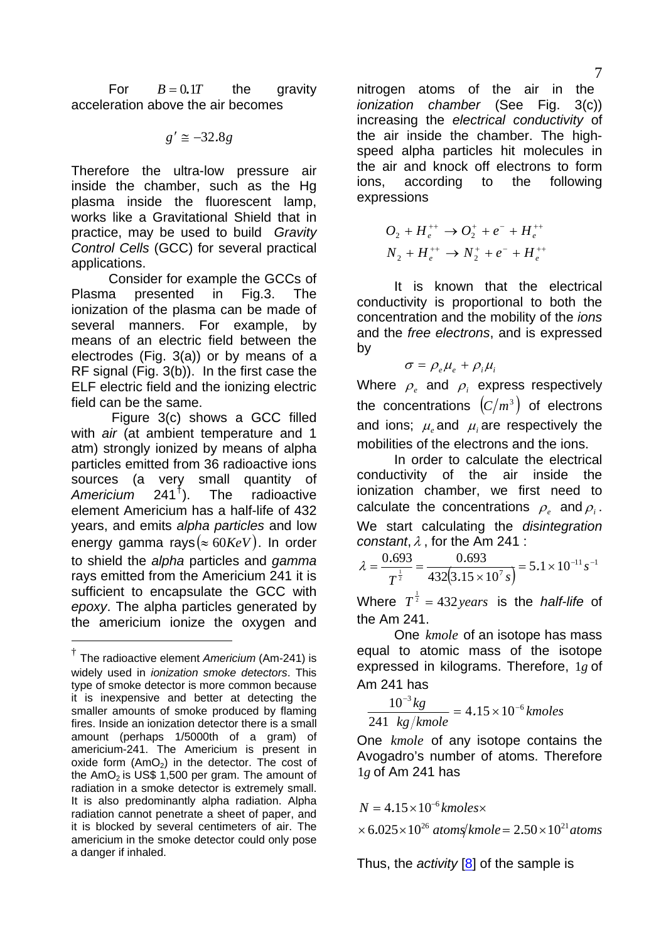<span id="page-6-0"></span>For  $B = 0.1T$  the gravity acceleration above the air becomes

$$
g'\cong -32.8g
$$

Therefore the ultra-low pressure air inside the chamber, such as the Hg plasma inside the fluorescent lamp, works like a Gravitational Shield that in practice, may be used to build *Gravity Control Cells* (GCC) for several practical applications.

 Consider for example the GCCs of Plasma presented in Fig.3. The ionization of the plasma can be made of several manners. For example, by means of an electric field between the electrodes (Fig. 3(a)) or by means of a RF signal (Fig. 3(b)). In the first case the ELF electric field and the ionizing electric field can be the same.

 Figure 3(c) shows a GCC filled with *air* (at ambient temperature and 1 atm) strongly ionized by means of alpha particles emitted from 36 radioactive ions sources (a very small quantity of Americium 241<sup>†</sup>). The radioactive *Americium* radioactive element Americium has a half-life of 432 years, and emits *alpha particles* and low energy gamma rays ( $\approx 60KeV$ ). In order to shield the *alpha* particles and *gamma*  rays emitted from the Americium 241 it is sufficient to encapsulate the GCC with *epoxy*. The alpha particles generated by the americium ionize the oxygen and

-

nitrogen atoms of the air in the *ionization chamber* (See Fig. 3(c)) increasing the *electrical conductivity* of the air inside the chamber. The highspeed alpha particles hit molecules in the air and knock off electrons to form ions, according to the following expressions

$$
O_2 + H_e^{++} \to O_2^+ + e^- + H_e^{++}
$$
  

$$
N_2 + H_e^{++} \to N_2^+ + e^- + H_e^{++}
$$

 It is known that the electrical conductivity is proportional to both the concentration and the mobility of the *ions* and the *free electrons*, and is expressed by

$$
\sigma = \rho_e \mu_e + \rho_i \mu_i
$$

Where  $\rho$  and  $\rho$  express respectively the concentrations  $(C/m^3)$  of electrons and ions;  $\mu_{\mu}$  and  $\mu_{\mu}$  are respectively the mobilities of the electrons and the ions.

 In order to calculate the electrical conductivity of the air inside the ionization chamber, we first need to calculate the concentrations  $\rho_{\alpha}$  and  $\rho_{\alpha}$ . We start calculating the *disintegration constant*,λ , for the Am 241 :

$$
\lambda = \frac{0.693}{T^{\frac{1}{2}}} = \frac{0.693}{432(3.15 \times 10^{7} \text{ s})} = 5.1 \times 10^{-11} \text{ s}^{-1}
$$

Where  $T^{\frac{1}{2}} = 432 \text{ years}$  is the *half-life* of the Am 241.

One *kmole* of an isotope has mass equal to atomic mass of the isotope expressed in kilograms. Therefore,  $1g$  of Am 241 has

$$
\frac{10^{-3} kg}{241 \ kg/kmole} = 4.15 \times 10^{-6} kmoles
$$

One kmole of any isotope contains the Avogadro's number of atoms. Therefore 1g of Am 241 has

$$
N = 4.15 \times 10^{-6} \, \text{kmoles} \times
$$
  
× 6.025×10<sup>26</sup> atoms/kmole = 2.50×10<sup>21</sup> atoms

Thus, the *activity* [[8\]](#page--1-0) of the sample is

<span id="page-6-1"></span><sup>†</sup> The radioactive element *Americium* (Am-241) is widely used in *ionization smoke detectors*. This type of smoke detector is more common because it is inexpensive and better at detecting the smaller amounts of smoke produced by flaming fires. Inside an ionization detector there is a small amount (perhaps 1/5000th of a gram) of americium-241. The Americium is present in oxide form  $(AmO<sub>2</sub>)$  in the detector. The cost of the  $AmO<sub>2</sub>$  is US\$ 1,500 per gram. The amount of radiation in a smoke detector is extremely small. It is also predominantly alpha radiation. Alpha radiation cannot penetrate a sheet of paper, and it is blocked by several centimeters of air. The americium in the smoke detector could only pose a danger if inhaled.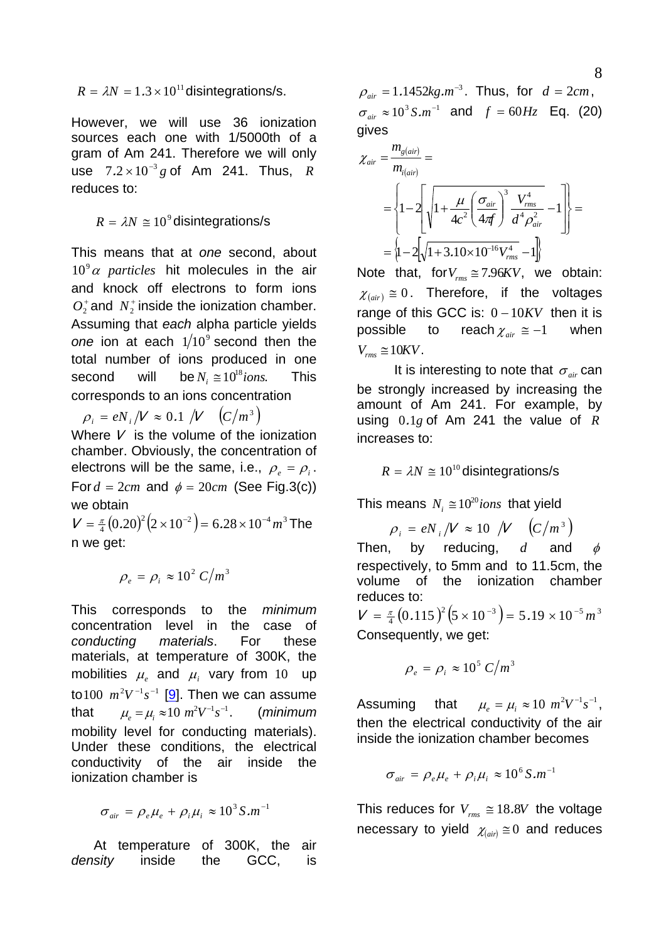$R = \lambda N = 1.3 \times 10^{11}$  disintegrations/s.

However, we will use 36 ionization sources each one with 1/5000th of a gram of Am 241. Therefore we will only use  $7.2 \times 10^{-3} g$  of Am 241. Thus, R reduces to:

 $R = \lambda N \approx 10^9$  disintegrations/s

This means that at *one* second, about  $10^9 \alpha$  *particles* hit molecules in the air and knock off electrons to form ions  $O_2^+$  and  $N_2^+$  inside the ionization chamber. Assuming that *each* alpha particle yields one ion at each  $1/10^9$  second then the total number of ions produced in one second will be  $N_i \approx 10^{18}$ *ions*. This corresponds to an ions concentration

 $\rho_i = eN_i / V \approx 0.1 / V \left( C/m^3 \right)$ 

Where  $V$  is the volume of the ionization chamber. Obviously, the concentration of electrons will be the same, i.e.,  $\rho_e = \rho_i$ . For  $d = 2cm$  and  $\phi = 20cm$  (See Fig.3(c)) we obtain

 $V = \frac{\pi}{4} (0.20)^2 (2 \times 10^{-2}) = 6.28 \times 10^{-4} m^3$  The n we get:

$$
\rho_e = \rho_i \approx 10^2 \, C/m^3
$$

This corresponds to the *minimum* concentration level in the case of *conducting materials*. For these materials, at temperature of 300K, the mobilities  $\mu_e$  and  $\mu_i$  vary from 10 up to  $100 \, m^2 V^{-1} s^{-1}$  [[9](#page--1-0)]. Then we can assume that  $\mu_e = \mu_i \approx 10 \; m^2 V^{-1} s^{-1}$ . (*minimum* mobility level for conducting materials). Under these conditions, the electrical conductivity of the air inside the ionization chamber is

$$
\sigma_{air} = \rho_e \mu_e + \rho_i \mu_i \approx 10^3 S.m^{-1}
$$

 At temperature of 300K, the air *density* inside the GCC, is  $\rho_{air} = 1.1452 kg.m^{-3}$ . Thus, for  $d = 2cm$ ,  $\sigma_{air} \approx 10^3 S.m^{-1}$  and  $f = 60 Hz$  Eq. (20) gives

$$
\chi_{air} = \frac{m_{g(air)}}{m_{i(air)}} =
$$
\n
$$
= \left\{ 1 - 2 \left[ \sqrt{1 + \frac{\mu}{4c^2} \left( \frac{\sigma_{air}}{4\pi f} \right)^3 \frac{V_{rms}^4}{d^4 \rho_{air}^2}} - 1 \right] \right\} =
$$
\n
$$
= \left\{ 1 - 2 \left[ \sqrt{1 + 3.10 \times 10^{-16} V_{rms}^4} - 1 \right] \right\}
$$

Note that, for $V_{rms} \approx 7.96KV$ , we obtain:  $\chi_{(air)} \cong 0$ . Therefore, if the voltages range of this GCC is:  $0-10KV$  then it is possible to reach  $\chi_{air} \cong -1$  when  $V_{rms} \cong 10KV$ .

It is interesting to note that  $\sigma_{air}$  can be strongly increased by increasing the amount of Am 241. For example, by using  $0.1g$  of Am 241 the value of  $R$ increases to:

 $R = \lambda N \approx 10^{10}$  disintegrations/s

This means  $N_i \approx 10^{20}$  *ions* that yield

 $\rho_i = eN_i/V \approx 10 / V (C/m^3)$ 

Then, by reducing,  $d$  and  $\phi$ respectively, to 5mm and to 11.5cm, the volume of the ionization chamber reduces to:

 $V = \frac{\pi}{4} (0.115)^2 (5 \times 10^{-3}) = 5.19 \times 10^{-5} m^3$ Consequently, we get:

$$
\rho_e = \rho_i \approx 10^5 \, C/m^3
$$

Assuming that  $\mu_e = \mu_i \approx 10 \ m^2 V^{-1} s^{-1}$ , then the electrical conductivity of the air inside the ionization chamber becomes

$$
\sigma_{air} = \rho_e \mu_e + \rho_i \mu_i \approx 10^6 \,\text{S.m}^{-1}
$$

This reduces for  $V_{rms} \approx 18.8V$  the voltage necessary to yield  $\chi_{(air)} \cong 0$  and reduces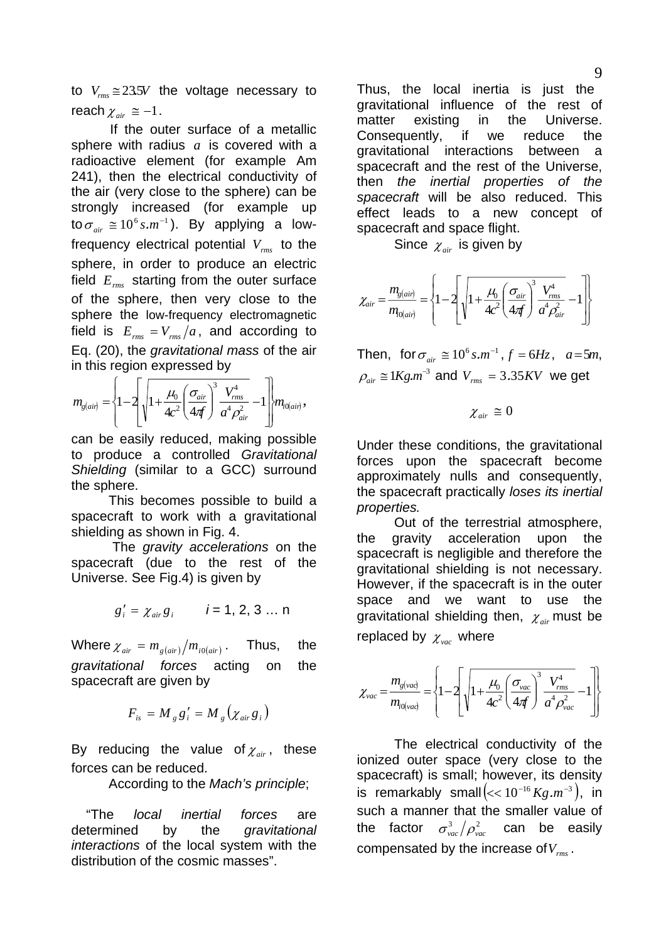to  $V_{rms} \approx 23.5V$  the voltage necessary to reach  $\chi_{\textit{air}} \cong -1$ .

 If the outer surface of a metallic sphere with radius  $a$  is covered with a radioactive element (for example Am 241), then the electrical conductivity of the air (very close to the sphere) can be strongly increased (for example up to  $\sigma_{\scriptscriptstyle air} \cong 10^6\,\text{s.m}^{-1}$ ). By applying a lowfrequency electrical potential  $V_{\rm rms}$  to the sphere, in order to produce an electric field  $E_{rms}$  starting from the outer surface of the sphere, then very close to the sphere the low-frequency electromagnetic field is  $E_{rms} = V_{rms}/a$ , and according to Eq. (20), the *gravitational mass* of the air in this region expressed by

$$
m_{g(air)} = \left\{1 - 2\left[\sqrt{1 + \frac{\mu_0}{4c^2} \left(\frac{\sigma_{air}}{4\pi f}\right)^3 \frac{V_{rms}^4}{a^4 \rho_{air}^2}} - 1\right] \right\} m_{i0(air)},
$$

can be easily reduced, making possible to produce a controlled *Gravitational Shielding* (similar to a GCC) surround the sphere.

 This becomes possible to build a spacecraft to work with a gravitational shielding as shown in Fig. 4.

 The *gravity accelerations* on the spacecraft (due to the rest of the Universe. See Fig.4) is given by

$$
g'_i = \chi_{air} g_i
$$
  $i = 1, 2, 3 ... n$ 

Where  $\chi_{air} = m_{g (air)}/m_{i0 (air)}$ . Thus, the *gravitational forces* acting on the spacecraft are given by

$$
F_{is} = M_{g}g'_{i} = M_{g}(\chi_{air}g_{i})
$$

By reducing the value of  $\chi_{air}$ , these forces can be reduced.

According to the *Mach's principle*;

 "The *local inertial forces* are determined by the *gravitational interactions* of the local system with the distribution of the cosmic masses".

Thus, the local inertia is just the gravitational influence of the rest of matter existing in the Universe. Consequently, if we reduce the gravitational interactions between a spacecraft and the rest of the Universe, then *the inertial properties of the spacecraft* will be also reduced. This effect leads to a new concept of spacecraft and space flight.

Since  $\chi_{air}$  is given by

$$
\chi_{air} = \frac{m_{g(air)}}{m_{0(air)}} = \left\{1 - 2\left[\sqrt{1 + \frac{\mu_0}{4c^2} \left(\frac{\sigma_{air}}{4\pi f}\right)^3 \frac{V_{rms}^4}{a^4 \rho_{air}^2}} - 1\right]\right\}
$$

Then, for  $\sigma_{air} \approx 10^6$  s.m<sup>-1</sup>,  $f = 6$ Hz,  $a = 5m$ ,  $\rho_{air} \approx 1 K g.m^{-3}$  and  $V_{rms} = 3.35 KV$  we get

 $\chi_{\textit{air}} \equiv 0$ 

Under these conditions, the gravitational forces upon the spacecraft become approximately nulls and consequently, the spacecraft practically *loses its inertial properties.* 

 Out of the terrestrial atmosphere, the gravity acceleration upon the spacecraft is negligible and therefore the gravitational shielding is not necessary. However, if the spacecraft is in the outer space and we want to use the gravitational shielding then, <sup>χ</sup> *air* must be replaced by  $\chi_{\textit{vac}}$  where

$$
\chi_{vac} = \frac{m_{g(vad)}}{m_{i0(vad)}} = \left\{ 1 - 2 \left[ \sqrt{1 + \frac{\mu_0}{4c^2} \left( \frac{\sigma_{vac}}{4\pi f} \right)^3 \frac{V_{rms}^4}{a^4 \rho_{vac}^2}} - 1 \right] \right\}
$$

 The electrical conductivity of the ionized outer space (very close to the spacecraft) is small; however, its density is remarkably small $\left\langle \ll 10^{-16} \, Kg \, m^{-3} \right\rangle$ , in such a manner that the smaller value of the factor  $\sigma_{vac}^{3}/\rho_{vac}^{2}$  can be easily compensated by the increase of  $V_{rms}$ .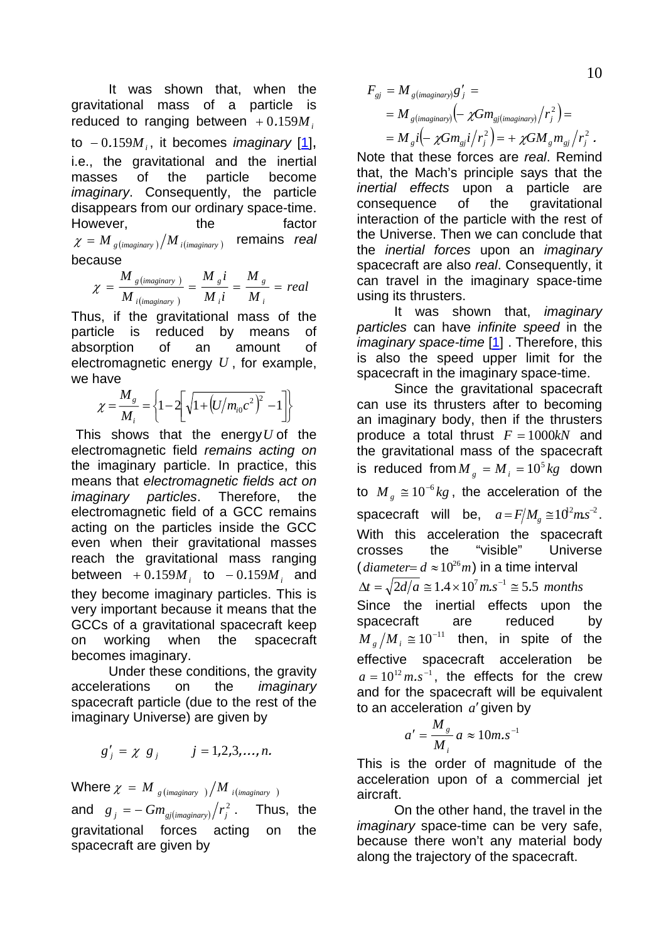It was shown that, when the gravitational mass of a particle is reduced to ranging between  $+0.159M$ <sub>i</sub> to  $-0.159M$ <sub>i</sub>, it becomes *imaginary* [[1\]](#page--1-0), i.e., the gravitational and the inertial masses of the particle become *imaginary*. Consequently, the particle disappears from our ordinary space-time. However, the factor  $\chi = M_{g (imaginary)} / M_{i (imaginary)}$  remains *real* because

$$
\chi = \frac{M_{g \text{ (imaginary)}}}{M_{i \text{ (imaginary)}}} = \frac{M_{g}i}{M_{i}i} = \frac{M_{g}}{M_{i}} = real
$$

Thus, if the gravitational mass of the particle is reduced by means of absorption of an amount of electromagnetic energy *U* , for example, we have

$$
\chi = \frac{M_s}{M_i} = \left\{ 1 - 2 \left[ \sqrt{1 + \left( U/m_{i0}c^2 \right)^2} - 1 \right] \right\}
$$

This shows that the energy*U* of the electromagnetic field *remains acting on* the imaginary particle. In practice, this means that *electromagnetic fields act on imaginary particles*. Therefore, the electromagnetic field of a GCC remains acting on the particles inside the GCC even when their gravitational masses reach the gravitational mass ranging  $between + 0.159M_i$  to  $-0.159M_i$  and they become imaginary particles. This is very important because it means that the GCCs of a gravitational spacecraft keep on working when the spacecraft becomes imaginary.

 Under these conditions, the gravity accelerations on the *imaginary* spacecraft particle (due to the rest of the imaginary Universe) are given by

$$
g'_{j} = \chi g_{j} \qquad j = 1, 2, 3, \ldots, n.
$$

Where  $\chi = M_{g (imaginary)} / M_{i (imaginary)}$ and  $g_j = -Gm_{gj(maginary)}/r_j^2$ . Thus, the gravitational forces acting on the spacecraft are given by

$$
F_{gj} = M_{g(maginary)}g'_{j} =
$$
  
=  $M_{g(maginary)}(- \chi Gm_{gj(maginary)} / r_{j}^{2}) =$   
=  $M_{g}i(- \chi Gm_{gj}i / r_{j}^{2}) = + \chi Gm_{g}m_{gj} / r_{j}^{2}$ .

Note that these forces are *real*. Remind that, the Mach's principle says that the *inertial effects* upon a particle are consequence of the gravitational interaction of the particle with the rest of the Universe. Then we can conclude that the *inertial forces* upon an *imaginary* spacecraft are also *real*. Consequently, it can travel in the imaginary space-time using its thrusters.

 It was shown that, *imaginary particles* can have *infinite speed* in the *imaginary space-time* [\[1\]](#page--1-0) . Therefore, this is also the speed upper limit for the spacecraft in the imaginary space-time.

 Since the gravitational spacecraft can use its thrusters after to becoming an imaginary body, then if the thrusters produce a total thrust  $F = 1000kN$  and the gravitational mass of the spacecraft is reduced from  $M<sub>g</sub> = M<sub>i</sub> = 10<sup>5</sup> kg$  down to  $M<sub>g</sub> \approx 10^{-6} kg$ , the acceleration of the spacecraft will be,  $a = F/M_g \approx 10^2 m s^{-2}$ . With this acceleration the spacecraft crosses the "visible" Universe (*diameter*=  $d \approx 10^{26} m$ ) in a time interval  $\Delta t = \sqrt{2d/a} \approx 1.4 \times 10^7$   $m.s^{-1} \approx 5.5$  months Since the inertial effects upon the spacecraft are reduced by  $M_{\nu}/M_{\nu} \cong 10^{-11}$  then, in spite of the effective spacecraft acceleration be  $a = 10^{12}$  m.s<sup>-1</sup>, the effects for the crew and for the spacecraft will be equivalent to an acceleration  $a'$  given by

$$
a' = \frac{M_s}{M_i} a \approx 10 m.s^{-1}
$$

This is the order of magnitude of the acceleration upon of a commercial jet aircraft.

 On the other hand, the travel in the *imaginary* space-time can be very safe, because there won't any material body along the trajectory of the spacecraft.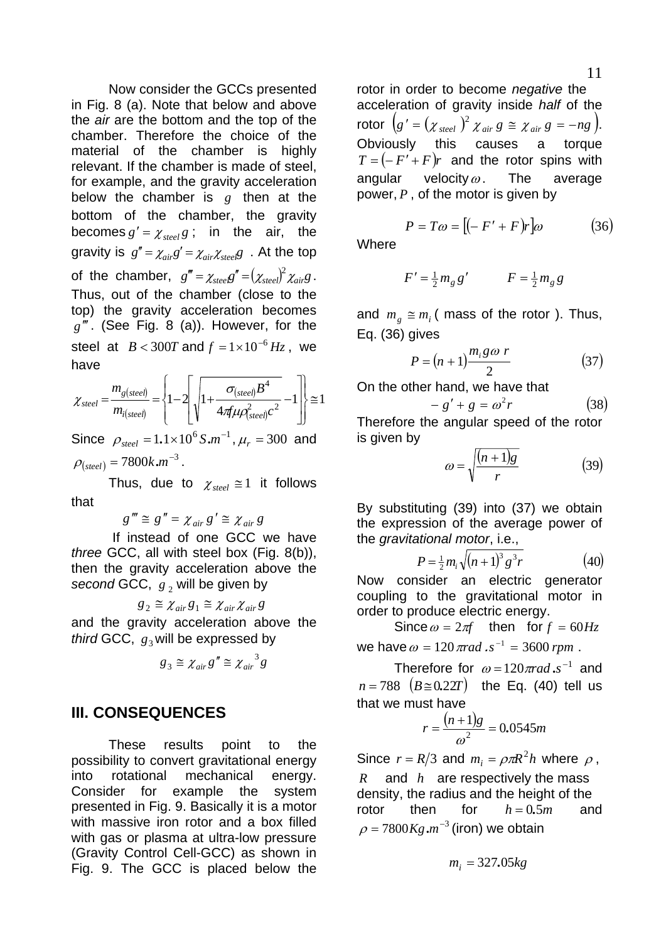<span id="page-10-0"></span> Now consider the GCCs presented in Fig. 8 (a). Note that below and above the *air* are the bottom and the top of the chamber. Therefore the choice of the material of the chamber is highly relevant. If the chamber is made of steel, for example, and the gravity acceleration below the chamber is  $g$  then at the bottom of the chamber, the gravity becomes  $g' = \chi_{\text{steel}} g$ ; in the air, the gravity is  $g'' = \chi_{air}g' = \chi_{air}\chi_{\text{st}e}/\chi$ . At the top of the chamber,  $g''' = \chi_{\text{steel}} g'' = (\chi_{\text{steel}})^2 \chi_{\text{air}} g$ . Thus, out of the chamber (close to the top) the gravity acceleration becomes  $g$ <sup>""</sup>. (See Fig. 8 (a)). However, for the steel at  $B < 300T$  and  $f = 1 \times 10^{-6}$   $Hz$ , we have

$$
\chi_{\text{steel}} = \frac{m_{g(\text{steel})}}{m_{i(\text{steel})}} = \left\{ 1 - 2 \left[ \sqrt{1 + \frac{\sigma_{(\text{steel})} B^4}{4 \pi \mu \rho_{\text{steel}}^2 c^2}} - 1 \right] \right\} \approx 1
$$

Since  $\rho_{\text{steel}} = 1.1 \times 10^6 S.m^{-1}$ ,  $\mu_r = 300$  and  $\rho_{(steel)} = 7800 k.m^{-3}$ .

Thus, due to  $\chi_{\text{steel}} \cong 1$  it follows that

 $g''' \cong g'' = \chi_{air} g' \cong \chi_{air} g$ 

 If instead of one GCC we have *three* GCC, all with steel box (Fig. 8(b)), then the gravity acceleration above the *second* GCC,  $g_2$  will be given by

 $g_2 \cong \chi_{air} g_1 \cong \chi_{air} \chi_{air} g$ 

and the gravity acceleration above the *third* GCC,  $g_3$  will be expressed by

$$
g_3 \cong \chi_{air} g'' \cong {\chi_{air}}^3 g
$$

## **III. CONSEQUENCES**

 These results point to the possibility to convert gravitational energy into rotational mechanical energy. Consider for example the system presented in Fig. 9. Basically it is a motor with massive iron rotor and a box filled with gas or plasma at ultra-low pressure (Gravity Control Cell-GCC) as shown in Fig. 9. The GCC is placed below the

rotor in order to become *negative* the acceleration of gravity inside *half* of the rotor  $(g' = (\chi_{\text{steel}})^2 \chi_{\text{air}} g \equiv \chi_{\text{air}} g = -ng$ . Obviously this causes a torque  $T = (-F' + F)r$  and the rotor spins with angular velocity  $\omega$ . The average power, *P* , of the motor is given by

$$
P = T\omega = [(-F' + F)r]\omega \qquad (36)
$$

**Where** 

$$
F' = \frac{1}{2}m_g g' \qquad F = \frac{1}{2}m_g g
$$

and  $m_e \equiv m_i$  (mass of the rotor ). Thus, Eq. (36) gives

$$
P = (n+1)\frac{m_i g \omega r}{2} \tag{37}
$$

On the other hand, we have that

$$
-g' + g = \omega^2 r \tag{38}
$$

Therefore the angular speed of the rotor is given by

$$
\omega = \sqrt{\frac{(n+1)g}{r}}\tag{39}
$$

By substituting (39) into (37) we obtain the expression of the average power of the *gravitational motor*, i.e.,

$$
P = \frac{1}{2} m_i \sqrt{(n+1)^3 g^3 r}
$$
 (40)

Now consider an electric generator coupling to the gravitational motor in order to produce electric energy.

Since  $\omega = 2\pi f$  then for  $f = 60Hz$ we have  $\omega = 120 \pi rad \cdot s^{-1} = 3600 \, \text{rpm}$ .

Therefore for  $\omega = 120 \pi rad . s^{-1}$  and  $n = 788$   $(B \approx 0.22T)$  the Eq. (40) tell us that we must have

$$
r = \frac{(n+1)g}{\omega^2} = 0.0545m
$$

Since  $r = R/3$  and  $m_i = \rho \pi R^2 h$  where  $\rho$ ,  $R$  and  $h$  are respectively the mass density, the radius and the height of the rotor then for  $h = 0.5m$  and  $\rho = 7800Kg.m^{-3}$  (iron) we obtain

$$
m_i = 327.05kg
$$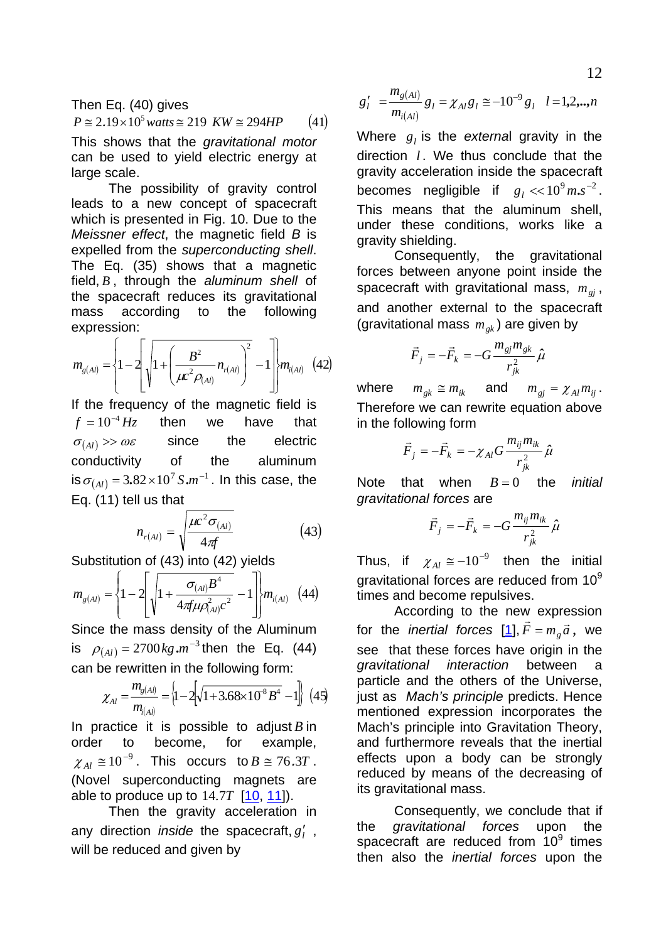<span id="page-11-0"></span>Then Eq. (40) gives  $P \approx 2.19 \times 10^5 \text{ watts} \approx 219 \text{ KW} \approx 294 \text{ HP}$  (41)

This shows that the *gravitational motor* can be used to yield electric energy at large scale.

 The possibility of gravity control leads to a new concept of spacecraft which is presented in Fig. 10. Due to the *Meissner effect*, the magnetic field *B* is expelled from the *superconducting shell*. The Eq. (35) shows that a magnetic field, *B* , through the *aluminum shell* of the spacecraft reduces its gravitational mass according to the following expression:

$$
m_{g(Al)} = \left\{1 - 2\left[\sqrt{1 + \left(\frac{B^2}{\mu c^2 \rho_{(Al)}} n_{r(Al)}\right)^2} - 1\right]\right\} m_{i(Al)} \quad (42)
$$

If the frequency of the magnetic field is  $f = 10^{-4}$  *Hz* then we have that  $\sigma_{(4)} >> \omega \varepsilon$  since the electric conductivity of the aluminum is  $\sigma_{(Al)} = 3.82 \times 10^7 S.m^{-1}$ . In this case, the Eq. (11) tell us that

$$
n_{r(Al)} = \sqrt{\frac{\mu c^2 \sigma_{(Al)}}{4 \pi f}}
$$
(43)

Substitution of (43) into (42) yields

$$
m_{g(Al)} = \left\{1 - 2\left[\sqrt{1 + \frac{\sigma_{(Al)}B^4}{4\pi \mu \rho_{(Al)}^2 c^2}} - 1\right]\right\} m_{i(Al)} \quad (44)
$$

Since the mass density of the Aluminum is  $\rho_{(Al)} = 2700 \text{kg} \cdot \text{m}^{-3}$  then the Eq. (44) can be rewritten in the following form:

$$
\chi_{Al} = \frac{m_{g(A)}}{m_{i(A)}} = \left\{1 - 2\left[\sqrt{1 + 3.68 \times 10^{-8} B^4} - 1\right]\right\}
$$
 (45)

In practice it is possible to adjust  $B$  in order to become, for example,  $\chi_{Al} \approx 10^{-9}$ . This occurs to  $B \approx 76.3T$ . (Novel superconducting magnets are able to produce up to  $14.7T$   $[10, 11]$  $[10, 11]$  $[10, 11]$  $[10, 11]$  $[10, 11]$ .

 Then the gravity acceleration in any direction *inside* the spacecraft,  $g'_{l}$ , will be reduced and given by

$$
g'_{l}
$$
 =  $\frac{m_{g(Al)}}{m_{i(Al)}} g_{l} = \chi_{Al} g_{l} \approx -10^{-9} g_{l}$   $l = 1, 2, ..., n$ 

Where  $g_l$  is the *external* gravity in the direction *l*. We thus conclude that the gravity acceleration inside the spacecraft becomes negligible if  $g_l \ll 10^9 m.s^{-2}$ . This means that the aluminum shell, under these conditions, works like a gravity shielding.

 Consequently, the gravitational forces between anyone point inside the spacecraft with gravitational mass,  $m_{gi}$ , and another external to the spacecraft (gravitational mass  $m_{gk}$ ) are given by

$$
\vec{F}_j = -\vec{F}_k = -G \frac{m_{\rm gj} m_{\rm gk}}{r_{jk}^2} \hat{\mu}
$$

where  $m_{ek} \cong m_{ik}$  and  $m_{ei} = \chi_{Al} m_{ii}$ . Therefore we can rewrite equation above in the following form

$$
\vec{F}_j = -\vec{F}_k = -\chi_{Al} G \frac{m_{ij} m_{ik}}{r_{jk}^2} \hat{\mu}
$$

Note that when  $B=0$  the *initial gravitational forces* are  $B=0$ 

$$
\vec{F}_j = -\vec{F}_k = -G \frac{m_{ij} m_{ik}}{r_{jk}^2} \hat{\mu}
$$

Thus, if  $\chi_{Al} \approx -10^{-9}$  then the initial gravitational forces are reduced from 10<sup>9</sup> times and become repulsives.

 According to the new expression for the *inertial forces* [\[1](#page--1-0)],  $\vec{F} = m_g \vec{a}$ , we see that these forces have origin in the *gravitational interaction* between a particle and the others of the Universe, just as *Mach's principle* predicts. Hence mentioned expression incorporates the Mach's principle into Gravitation Theory, and furthermore reveals that the inertial effects upon a body can be strongly reduced by means of the decreasing of its gravitational mass.

 Consequently, we conclude that if the *gravitational forces* upon the spacecraft are reduced from  $10^9$  times then also the *inertial forces* upon the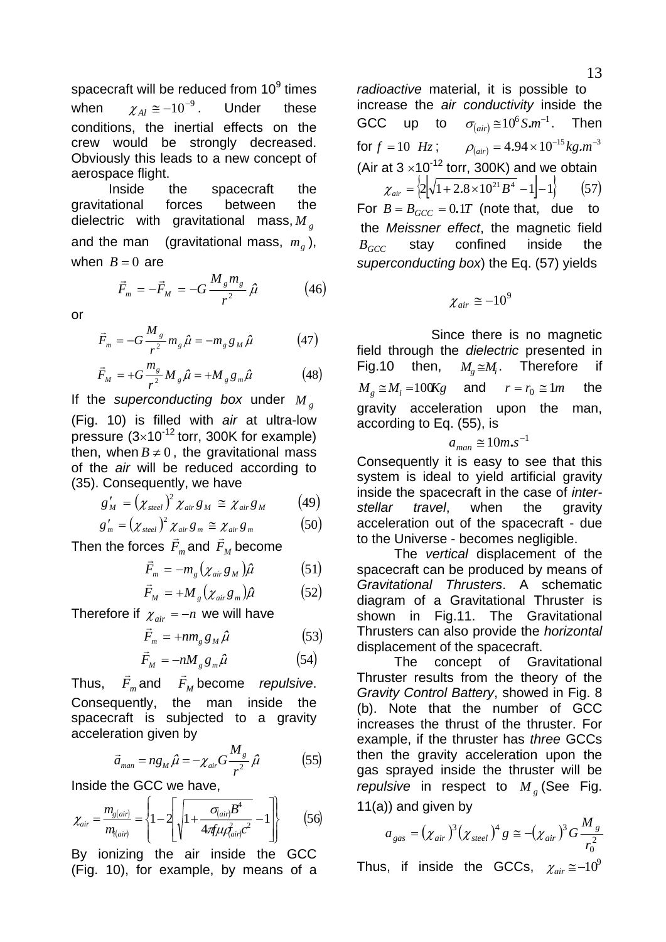<span id="page-12-0"></span>spacecraft will be reduced from  $10^9$  times when  $\chi_{Al} \approx -10^{-9}$ . Under these conditions, the inertial effects on the crew would be strongly decreased. Obviously this leads to a new concept of aerospace flight.

 Inside the spacecraft the gravitational forces between the dielectric with gravitational mass, *M <sup>g</sup>* and the man (gravitational mass,  $m_g$ ), when  $B = 0$  are

$$
\vec{F}_m = -\vec{F}_M = -G \frac{M_s m_s}{r^2} \hat{\mu}
$$
 (46)

or

$$
\vec{F}_m = -G \frac{M_s}{r^2} m_g \hat{\mu} = -m_g g_M \hat{\mu}
$$
 (47)

$$
\vec{F}_M = +G\frac{m_g}{r^2}M_g\hat{\mu} = +M_g g_m\hat{\mu}
$$
 (48)

If the *superconducting box* under *M <sup>g</sup>* (Fig. 10) is filled with *air* at ultra-low pressure  $(3\times10^{-12}$  torr, 300K for example) then, when  $B \neq 0$ , the gravitational mass of the *air* will be reduced according to (35). Consequently, we have

$$
g'_{M} = (\chi_{\text{steel}})^2 \chi_{\text{air}} g_{M} \cong \chi_{\text{air}} g_{M} \qquad (49)
$$

$$
g'_{m} = (\chi_{\text{steel}})^2 \chi_{\text{air}} g_{m} \cong \chi_{\text{air}} g_{m} \tag{50}
$$

Then the forces  $\vec{F}_m$  and  $\vec{F}_M$  become

$$
\vec{F}_m = -m_g \left(\chi_{air} g_M\right) \hat{\mu} \tag{51}
$$

$$
\vec{F}_M = +M_g \left(\chi_{air} g_m\right) \hat{\mu} \tag{52}
$$

Therefore if  $\chi_{air} = -n$  we will have

$$
\vec{F}_m = +nm_g g_M \hat{\mu} \tag{53}
$$

$$
\vec{F}_M = -n M_g g_m \hat{\mu} \tag{54}
$$

Thus,  $\vec{F}_m$  and  $\vec{F}_M$  become *repulsive*. Consequently, the man inside the spacecraft is subjected to a gravity acceleration given by

$$
\vec{a}_{\text{man}} = n g_M \hat{\mu} = -\chi_{\text{air}} G \frac{M_s}{r^2} \hat{\mu} \tag{55}
$$

Inside the GCC we have,

$$
\chi_{air} = \frac{m_{g(air)}}{m_{f(air)}} = \left\{1 - 2\left[\sqrt{1 + \frac{\sigma_{(air)}B^4}{4\pi\mu\hat{d}_{air}c^2}} - 1\right]\right\}
$$
(56)

By ionizing the air inside the GCC (Fig. 10), for example, by means of a

*radioactive* material, it is possible to increase the *air conductivity* inside the GCC up to  $\sigma_{(air)} \approx 10^6 S.m^{-1}$ . Then for  $f = 10$  *Hz*;  $\rho_{air} = 4.94 \times 10^{-15} kg.m^{-3}$ (Air at  $3 \times 10^{-12}$  torr, 300K) and we obtain  $\chi_{air} = \left\{ 2 \left| \sqrt{1 + 2.8 \times 10^{21} B^4} - 1 \right| - 1 \right\}$  (57) For  $B = B_{GCC} = 0.1T$  (note that, due to the *Meissner effect*, the magnetic field stay confined inside the *superconducting box*) the Eq. (57) yields *BGCC*

$$
\chi_{air}\cong-10^9
$$

 Since there is no magnetic field through the *dielectric* presented in Fig.10 then,  $M_e \cong M_i$ . Therefore if  $M_g \cong M_i = 100Kg$  and  $r = r_0 \cong 1m$  the gravity acceleration upon the man, according to Eq. (55), is

$$
a_{man} \cong 10m.s^{-1}
$$

Consequently it is easy to see that this system is ideal to yield artificial gravity inside the spacecraft in the case of *interstellar travel*, when the gravity acceleration out of the spacecraft - due to the Universe - becomes negligible.

 The *vertical* displacement of the spacecraft can be produced by means of *Gravitational Thrusters*. A schematic diagram of a Gravitational Thruster is shown in Fig.11. The Gravitational Thrusters can also provide the *horizontal* displacement of the spacecraft.

 The concept of Gravitational Thruster results from the theory of the *Gravity Control Battery*, showed in Fig. 8 (b). Note that the number of GCC increases the thrust of the thruster. For example, if the thruster has *three* GCCs then the gravity acceleration upon the gas sprayed inside the thruster will be *repulsive* in respect to  $M_g$  (See Fig. 11(a)) and given by

$$
a_{gas} = (\chi_{air})^3 (\chi_{steel})^4 g \approx -(\chi_{air})^3 G \frac{M_g}{r_0^2}
$$

*M*

Thus, if inside the GCCs,  $\chi_{air} \approx -10^9$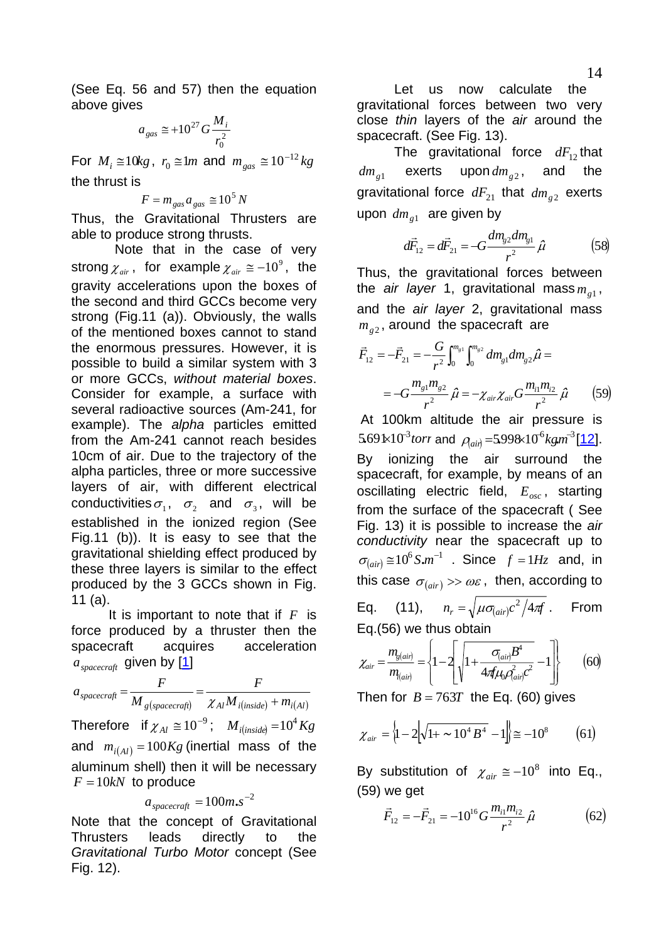(See Eq. 56 and 57) then the equation above gives

$$
a_{gas} \cong +10^{27} G \frac{M_i}{r_0^2}
$$

For  $M_i \cong 10kg$ ,  $r_0 \cong 1m$  and  $m_{gas} \cong 10^{-12}kg$ the thrust is

$$
F = m_{gas} a_{gas} \approx 10^5 N
$$

Thus, the Gravitational Thrusters are able to produce strong thrusts.

 Note that in the case of very strong  $\chi_{\text{air}}$ , for example  $\chi_{\text{air}} \cong -10^9$ , the gravity accelerations upon the boxes of the second and third GCCs become very strong (Fig.11 (a)). Obviously, the walls of the mentioned boxes cannot to stand the enormous pressures. However, it is possible to build a similar system with 3 or more GCCs, *without material boxes*. Consider for example, a surface with several radioactive sources (Am-241, for example). The *alpha* particles emitted from the Am-241 cannot reach besides 10cm of air. Due to the trajectory of the alpha particles, three or more successive layers of air, with different electrical conductivities  $\sigma_1$ ,  $\sigma_2$  and  $\sigma_3$ , will be established in the ionized region (See Fig.11 (b)). It is easy to see that the gravitational shielding effect produced by these three layers is similar to the effect produced by the 3 GCCs shown in Fig. 11 (a).

It is important to note that if  $F$  is force produced by a thruster then the spacecraft acquires acceleration  $a_{\mathit{spacecraft}}$  given by [<u>[1](#page--1-0)</u>]

 $g_{\text{spacecraft}} = \frac{1}{M} \frac{1}{g(\text{spacecraft})} = \frac{1}{\chi_{Al} M} \frac{1}{i(\text{inside})} + m_{i(\text{Al})}$ *F M*  $a_{\text{spacecraft}} = \frac{F}{M_{\text{g(spacecraft)}}} = \frac{F}{\chi_{\text{Al}} M_{\text{i(inside)}} + \frac{F}{\chi_{\text{Al}} M_{\text{m}}}}$ Therefore if  $\chi_{Al} \cong 10^{-9}$ ;  $M_{i (inside)} = 10^{4}$  Kg and  $m_{i(Al)} = 100Kg$  (inertial mass of the aluminum shell) then it will be necessary  $F = 10kN$  to produce

$$
a_{\text{spacecraft}} = 100 m.s^{-2}
$$

Note that the concept of Gravitational Thrusters leads directly to the *Gravitational Turbo Motor* concept (See Fig. 12).

 Let us now calculate the gravitational forces between two very close *thin* layers of the *air* around the spacecraft. (See Fig. 13).

The gravitational force  $dF_{12}$  that  $dm_{g1}$  exerts upon  $dm_{g2}$ , and the gravitational force  $dF_{21}$  that  $dm_{g2}$  exerts upon  $dm_{g1}$  are given by

$$
d\vec{F}_{12} = d\vec{F}_{21} = -G \frac{dm_{g2}dm_{g1}}{r^2} \hat{\mu}
$$
 (58)

Thus, the gravitational forces between the *air layer* 1, gravitational mass $m_{g1}$ , and the *air layer* 2, gravitational mass  $m_{g2}$ , around the spacecraft are

$$
\vec{F}_{12} = -\vec{F}_{21} = -\frac{G}{r^2} \int_0^{m_{g1}} \int_0^{m_{g2}} dm_{g1} dm_{g2} \hat{\mu} =
$$
  
= 
$$
-G \frac{m_{g1} m_{g2}}{r^2} \hat{\mu} = -\chi_{air} \chi_{air} G \frac{m_{i1} m_{i2}}{r^2} \hat{\mu}
$$
 (59)

 At 100km altitude the air pressure is  $5.69 \text{ k} 10^3$  *torr* and  $\rho_{\text{min}} = 5.998 \times 10^6 \text{ kg} \cdot \text{m}^3$  [[12\]](#page--1-0). By ionizing the air surround the spacecraft, for example, by means of an oscillating electric field,  $E_{osc}$ , starting from the surface of the spacecraft ( See Fig. 13) it is possible to increase the *air conductivity* near the spacecraft up to  $\sigma_{\text{(air)}} \approx 10^6 S.m^{-1}$ . Since  $f = 1 Hz$  and, in this case  $\sigma_{\left( air \right)} >> \omega \varepsilon$ , then, according to Eq. (11),  $n_r = \sqrt{\mu \sigma_{(air)} c^2 / 4 \pi}$ . From

Eq.(56) we thus obtain

$$
\chi_{air} = \frac{m_{g(air)}}{m_{(air)}} = \left\{1 - 2\left[\sqrt{1 + \frac{\sigma_{(air)}B^4}{4\pi\mu_0 \rho_{air}^2 c^2}} - 1\right]\right\}
$$
 (60)

Then for  $B = 763T$  the Eq. (60) gives

$$
\chi_{air} = \left\{1 - 2\left[\sqrt{1 + \sim 10^4 B^4} - 1\right]\right\} \approx -10^8 \tag{61}
$$

By substitution of  $\chi_{air} \approx -10^8$  into Eq., (59) we get

$$
\vec{F}_{12} = -\vec{F}_{21} = -10^{16} G \frac{m_{i1} m_{i2}}{r^2} \hat{\mu}
$$
 (62)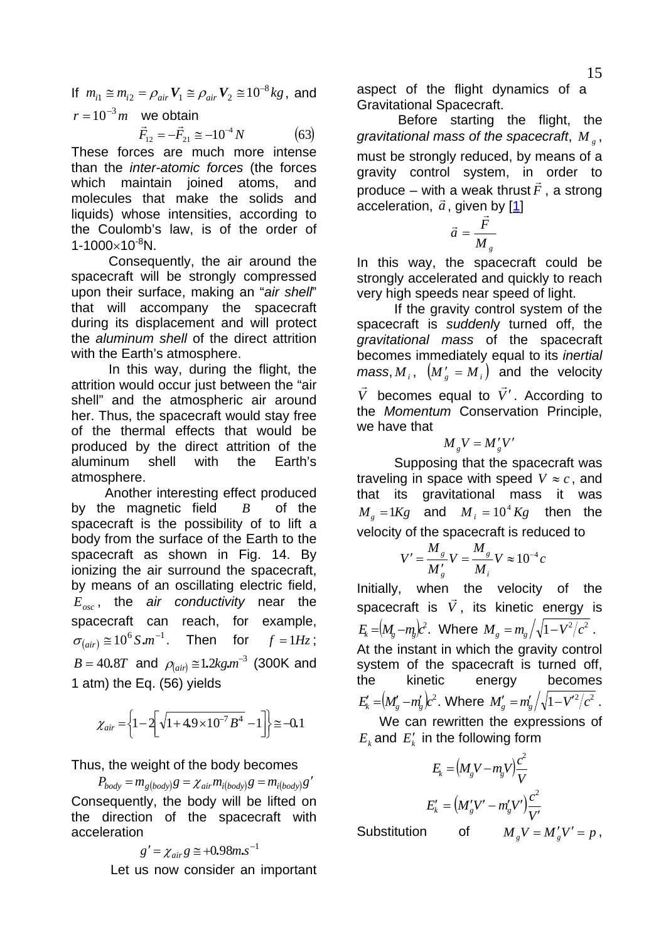<span id="page-14-0"></span>If  $m_{i1} \cong m_{i2} = \rho_{air} V_1 \cong \rho_{air} V_2 \cong 10^{-8} kg$ , and  $r = 10^{-3} m$  we obtain

$$
\vec{F}_{12} = -\vec{F}_{21} \approx -10^{-4} N \tag{63}
$$

These forces are much more intense than the *inter-atomic forces* (the forces which maintain joined atoms, and molecules that make the solids and liquids) whose intensities, according to the Coulomb's law, is of the order of  $1 - 1000 \times 10^{-8}$ N.

 Consequently, the air around the spacecraft will be strongly compressed upon their surface, making an "*air shell*" that will accompany the spacecraft during its displacement and will protect the *aluminum shell* of the direct attrition with the Earth's atmosphere.

 In this way, during the flight, the attrition would occur just between the "air shell" and the atmospheric air around her. Thus, the spacecraft would stay free of the thermal effects that would be produced by the direct attrition of the aluminum shell with the Earth's atmosphere.

 Another interesting effect produced by the magnetic field *B* of the spacecraft is the possibility of to lift a body from the surface of the Earth to the spacecraft as shown in Fig. 14. By ionizing the air surround the spacecraft, by means of an oscillating electric field, , the *air conductivity* near the *Eosc* spacecraft can reach, for example,  $\sigma_{\text{(air)}} \approx 10^6 \text{ S.m}^{-1}$ . Then for  $f = 1Hz$ ;  $B = 40.8T$  and  $\rho_{\text{(air)}} \approx 1.2 \text{kg} \cdot m^{-3}$  (300K and 1 atm) the Eq. (56) yields

$$
\chi_{air} = \left\{1 - 2\left[\sqrt{1 + 4.9 \times 10^{-7} B^4} - 1\right]\right\} \approx -0.1
$$

Thus, the weight of the body becomes

 $P_{body} = m_{g(body)}g = \chi_{air} m_{i(body)}g = m_{i(body)}g'$ Consequently, the body will be lifted on the direction of the spacecraft with acceleration

$$
g' = \chi_{air} g \approx +0.98 m.s^{-1}
$$
  
Let us now consider an important

aspect of the flight dynamics of a Gravitational Spacecraft.

 Before starting the flight, the gravitational mass of the spacecraft, M<sub>g</sub>, must be strongly reduced, by means of a gravity control system, in order to produce – with a weak thrust  $\vec{F}$ , a strong  $\alpha$  matrix weak and  $\alpha$ 

$$
\vec{a} = \frac{\vec{F}}{M_s}
$$

In this way, the spacecraft could be strongly accelerated and quickly to reach very high speeds near speed of light.

 If the gravity control system of the spacecraft is *suddenl*y turned off, the *gravitational mass* of the spacecraft becomes immediately equal to its *inertial mass*,  $M_i$ ,  $(M'_i = M_i)$  and the velocity *V*  $\vec{v}$  becomes equal to  $\vec{V}'$ . According to the *Momentum* Conservation Principle, we have that

$$
M_{g}V = M'_{g}V'
$$

 Supposing that the spacecraft was traveling in space with speed  $V \approx c$ , and that its gravitational mass it was  $M_g = 1Kg$  and  $M_i = 10^4$  *Kg* then the velocity of the spacecraft is reduced to

$$
V' = \frac{M_{g}}{M'_{g}}V = \frac{M_{g}}{M_{i}}V \approx 10^{-4}c
$$

Initially, when the velocity of the spacecraft is *V*  $\vec{r}$ , its kinetic energy is  $E_{\!k} = (M_{\!g} - m_{\!g})c^2$ . Where  $M_{\!g} = m_{\!g}/\sqrt{1-V^2/c^2}$  . At the instant in which the gravity control system of the spacecraft is turned off, the kinetic energy becomes  $E'_{k} = (M'_{g} - m'_{g})c^{2}$ . Where  $M'_{g} = m'_{g}/\sqrt{1 - V'^{2}/c^{2}}$  .

 We can rewritten the expressions of  $E_k$  and  $E'_k$  in the following form

$$
E_k = (M_g V - m_g V) \frac{c^2}{V}
$$

$$
E'_k = (M'_g V' - m'_g V') \frac{c^2}{V'}
$$

Substitution of  $M_g V = M'_g V' = p$ ,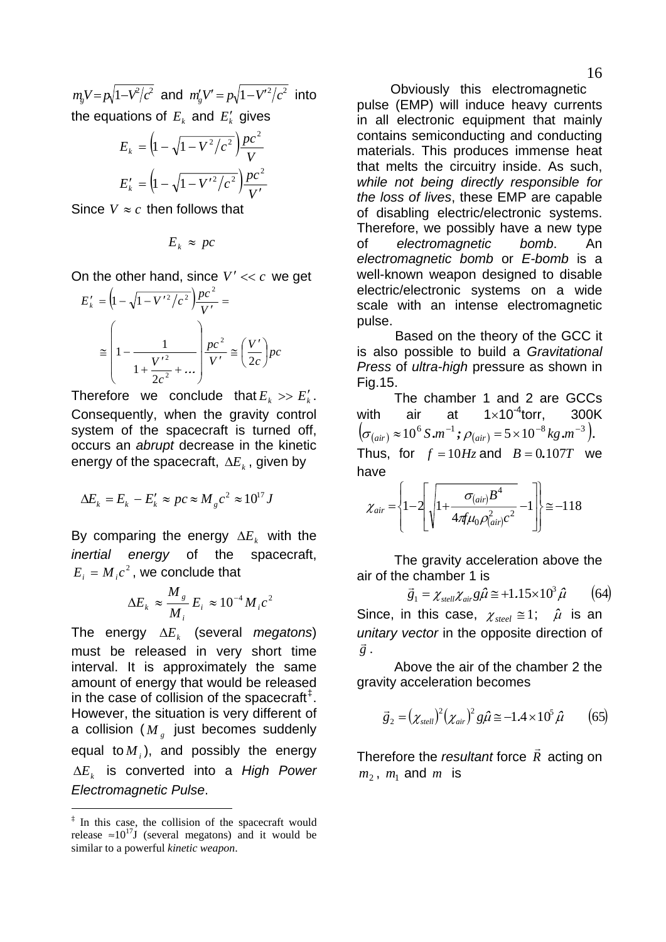<span id="page-15-0"></span> $m_{\rm g}V = p_{\rm v} \sqrt{1 - V^2/c^2}$  and  $m_{\rm g}'V' = p_{\rm v} \sqrt{1 - V^{\prime 2}/c^2}$  into the equations of  $E_k$  and  $E'_k$  gives

$$
E_k = \left(1 - \sqrt{1 - V^2/c^2}\right) \frac{pc^2}{V}
$$

$$
E'_k = \left(1 - \sqrt{1 - V^2/c^2}\right) \frac{pc^2}{V'}
$$

Since  $V \approx c$  then follows that

$$
E_k \approx pc
$$

On the other hand, since  $V' \ll c$  we get

$$
E'_{k} = \left(1 - \sqrt{1 - V'^{2}/c^{2}}\right) \frac{pc^{2}}{V'} =
$$
  

$$
\approx \left(1 - \frac{1}{1 + \frac{V'^{2}}{2c^{2}} + \dots}\right) \frac{pc^{2}}{V'} \approx \left(\frac{V'}{2c}\right) pc
$$

Therefore we conclude that  $E_k \gg E'_k$ . Consequently, when the gravity control system of the spacecraft is turned off, occurs an *abrupt* decrease in the kinetic energy of the spacecraft,  $\Delta E_k$ , given by

$$
\Delta E_k = E_k - E'_k \approx pc \approx M_g c^2 \approx 10^{17} J
$$

By comparing the energy  $\Delta E_k$  with the *inertial energy* of the spacecraft,  $E_i = M_i c^2$ , we conclude that

$$
\Delta E_k \approx \frac{M_s}{M_i} E_i \approx 10^{-4} M_i c^2
$$

The energy  $\Delta E_k$  (several *megatons*) must be released in very short time interval. It is approximately the same amount of energy that would be released in the case of collision of the spacecraft $<sup>‡</sup>$  $<sup>‡</sup>$  $<sup>‡</sup>$ .</sup> However, the situation is very different of a collision ( $M_{g}$  just becomes suddenly equal to $M_i$ ), and possibly the energy  $\Delta E_k$  is converted into a *High Power Electromagnetic Pulse*.

-

 Obviously this electromagnetic pulse (EMP) will induce heavy currents in all electronic equipment that mainly contains semiconducting and conducting materials. This produces immense heat that melts the circuitry inside. As such, *while not being directly responsible for the loss of lives*, these EMP are capable of disabling electric/electronic systems. Therefore, we possibly have a new type of *electromagnetic bomb*. An *electromagnetic bomb* or *E-bomb* is a well-known weapon designed to disable electric/electronic systems on a wide scale with an intense electromagnetic pulse.

 Based on the theory of the GCC it is also possible to build a *Gravitational Press* of *ultra-high* pressure as shown in Fig.15.

 The chamber 1 and 2 are GCCs with air at  $1 \times 10^{-4}$ torr, 300K  $(\sigma_{\text{(air)}} \approx 10^6 \text{ S.m}^{-1}; \rho_{\text{(air)}} = 5 \times 10^{-8} \text{ kg.m}^{-3}).$ Thus, for  $f = 10Hz$  and  $B = 0.107T$  we have

$$
\chi_{air} = \left\{1 - 2\left[\sqrt{1 + \frac{\sigma_{(air)}B^4}{4\pi\mu_0 \rho_{(air)}^2 c^2}} - 1\right]\right\} \approx -118
$$

 The gravity acceleration above the air of the chamber 1 is

$$
\vec{g}_1 = \chi_{\text{sel}} \chi_{\text{air}} g \hat{\mu} \approx +1.15 \times 10^3 \hat{\mu} \qquad (64)
$$

Since, in this case,  $\chi_{\text{steel}} \cong 1$ ;  $\hat{\mu}$  is an *unitary vector* in the opposite direction of *g*<br>*g*.

 Above the air of the chamber 2 the gravity acceleration becomes

$$
\vec{g}_2 = (\chi_{\text{stellar}})^2 (\chi_{\text{air}})^2 g \hat{\mu} \approx -1.4 \times 10^5 \hat{\mu} \qquad (65)
$$

Therefore the *resultant* force  $\vec{R}$  acting on  $m_2$ ,  $m_1$  and  $m$  is

<span id="page-15-1"></span><sup>‡</sup> In this case, the collision of the spacecraft would release  $\approx 10^{17}$ J (several megatons) and it would be similar to a powerful *kinetic weapon*.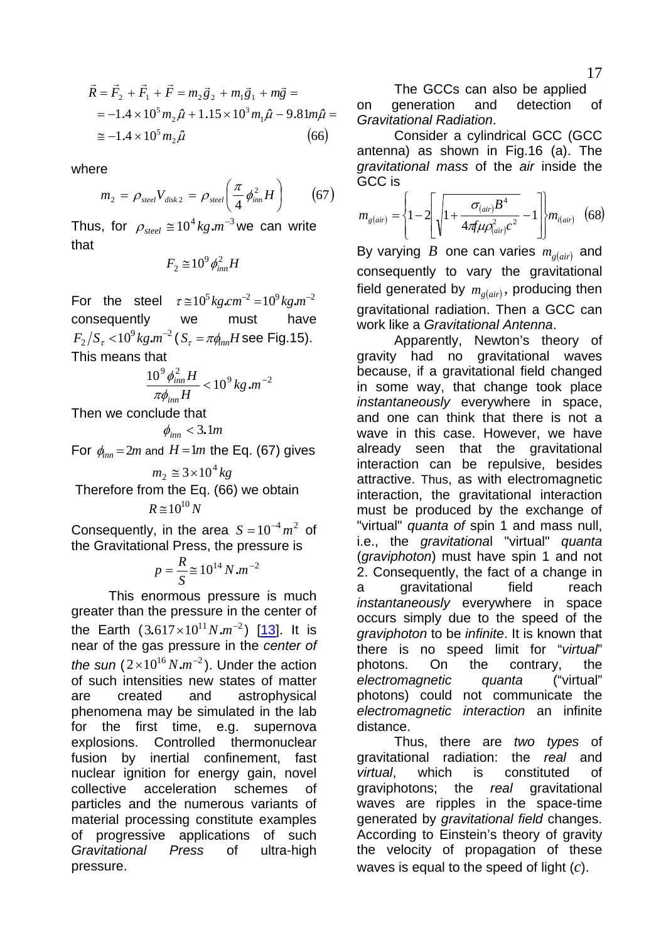<span id="page-16-0"></span>
$$
\vec{R} = \vec{F}_2 + \vec{F}_1 + \vec{F} = m_2 \vec{g}_2 + m_1 \vec{g}_1 + m \vec{g} =
$$
  
= -1.4 × 10<sup>5</sup> m<sub>2</sub>  $\hat{\mu}$  + 1.15 × 10<sup>3</sup> m<sub>1</sub>  $\hat{\mu}$  – 9.81m $\hat{\mu}$  =  
 $\approx$  -1.4 × 10<sup>5</sup> m<sub>2</sub>  $\hat{\mu}$  (66)

where

$$
m_2 = \rho_{\text{steel}} V_{\text{disk 2}} = \rho_{\text{steel}} \left( \frac{\pi}{4} \phi_{\text{inn}}^2 H \right) \tag{67}
$$

Thus, for  $\rho_{\text{steel}} \approx 10^4 \text{kg} \cdot m^{-3}$  we can write that

$$
F_2 \cong 10^9 \phi_{inn}^2 H
$$

For the steel  $\tau \approx 10^5 \text{ kg} \cdot \text{cm}^{-2} = 10^9 \text{ kg} \cdot \text{m}^{-2}$ consequently we must have  $F_2/S_{\tau}$  <  $10^9$   $kg.m^{-2}$  ( $S_{\tau}$  =  $\pi\phi_{nn}H$  see Fig.15). This means that

 $10<sup>9</sup>$   $1<sup>2</sup>$  *H* 

$$
\frac{10^{-6} \rho_{inn} H}{\pi \phi_{inn} H} < 10^{9} kg.m^{-2}
$$

Then we conclude that

$$
\phi_{inn} < 3.1m
$$

For  $\phi_{\text{inn}} = 2m$  and  $H = 1m$  the Eq. (67) gives

$$
m_2 \approx 3 \times 10^4 kg
$$
  
Therefore from the Eq. (66) we obtain

$$
R\cong10^{10}N
$$

Consequently, in the area  $S = 10^{-4} m^2$  of the Gravitational Press, the pressure is

$$
p = \frac{R}{S} \cong 10^{14} \, N \, m^{-2}
$$

the Earth  $(3.617\times10^{11} N.m^{-2})$  [\[13](#page--1-0)]. It is This enormous pressure is much greater than the pressure in the center of near of the gas pressure in the *center of the sun*  $(2 \times 10^{16} N.m^{-2})$ . Under the action of such intensities new states of matter are created and astrophysical phenomena may be simulated in the lab for the first time, e.g. supernova explosions. Controlled thermonuclear fusion by inertial confinement, fast nuclear ignition for energy gain, novel collective acceleration schemes of particles and the numerous variants of material processing constitute examples of progressive applications of such *Gravitational Press* of ultra-high pressure.

 The GCCs can also be applied on generation and detection of *Gravitational Radiation*.

 Consider a cylindrical GCC (GCC antenna) as shown in Fig.16 (a). The *gravitational mass* of the *air* inside the GCC is

$$
m_{g(air)} = \left\{1 - 2\left[\sqrt{1 + \frac{\sigma_{(air)}B^4}{4\pi\mu\rho_{(air)}^2c^2}} - 1\right]\right\}m_{i(air)}\quad(68)
$$

By varying  $B$  one can varies  $m_{g(air)}$  and consequently to vary the gravitational field generated by  $m_{g (air)}$ , producing then gravitational radiation. Then a GCC can work like a *Gravitational Antenna*.

 Apparently, Newton's theory of gravity had no gravitational waves because, if a gravitational field changed in some way, that change took place *instantaneously* everywhere in space, and one can think that there is not a wave in this case. However, we have already seen that the gravitational interaction can be repulsive, besides attractive. Thus, as with electromagnetic interaction, the gravitational interaction must be produced by the exchange of "virtual" *quanta of* spin 1 and mass null, i.e., the *gravitationa*l "virtual" *quanta*  (*graviphoton*) must have spin 1 and not 2. Consequently, the fact of a change in a gravitational field reach *instantaneously* everywhere in space occurs simply due to the speed of the *graviphoton* to be *infinite*. It is known that there is no speed limit for "*virtual*" photons. On the contrary, the *electromagnetic quanta* ("virtual" photons) could not communicate the *electromagnetic interaction* an infinite distance.

 Thus, there are *two types* of gravitational radiation: the *real* and *virtual*, which is constituted of graviphotons; the *real* gravitational waves are ripples in the space-time generated by *gravitational field* changes. According to Einstein's theory of gravity the velocity of propagation of these waves is equal to the speed of light (*c*).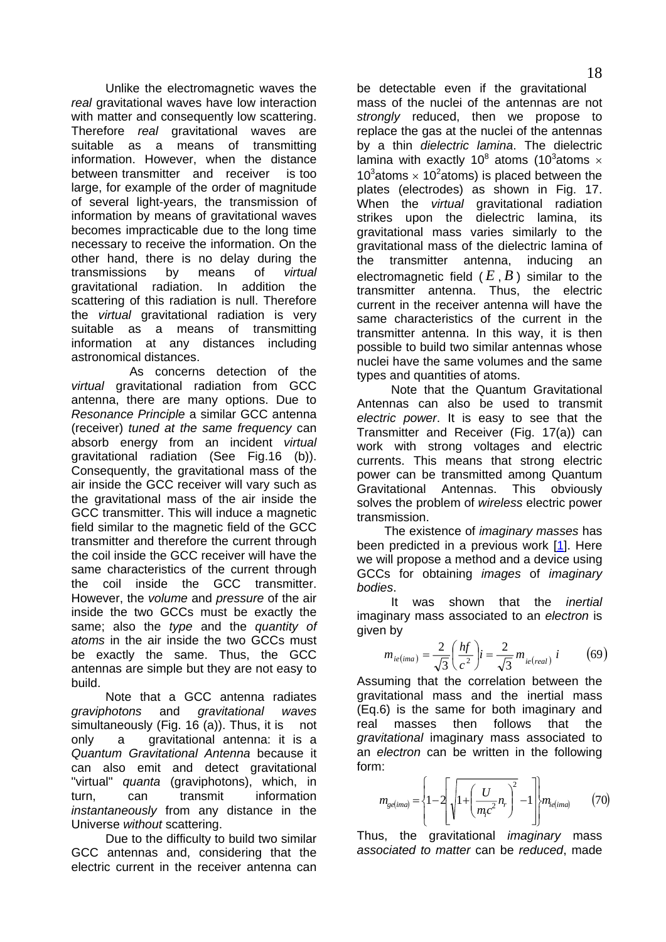<span id="page-17-0"></span> Unlike the electromagnetic waves the *real* gravitational waves have low interaction with matter and consequently low scattering. Therefore *real* gravitational waves are suitable as a means of transmitting information. However, when the distance between transmitter and receiver is too large, for example of the order of magnitude of several light-years, the transmission of information by means of gravitational waves becomes impracticable due to the long time necessary to receive the information. On the other hand, there is no delay during the transmissions by means of *virtual* gravitational radiation. In addition the scattering of this radiation is null. Therefore the *virtual* gravitational radiation is very suitable as a means of transmitting information at any distances including astronomical distances.

 As concerns detection of the *virtual* gravitational radiation from GCC antenna, there are many options. Due to *Resonance Principle* a similar GCC antenna (receiver) *tuned at the same frequency* can absorb energy from an incident *virtual* gravitational radiation (See Fig.16 (b)). Consequently, the gravitational mass of the air inside the GCC receiver will vary such as the gravitational mass of the air inside the GCC transmitter. This will induce a magnetic field similar to the magnetic field of the GCC transmitter and therefore the current through the coil inside the GCC receiver will have the same characteristics of the current through the coil inside the GCC transmitter. However, the *volume* and *pressure* of the air inside the two GCCs must be exactly the same; also the *type* and the *quantity of atoms* in the air inside the two GCCs must be exactly the same. Thus, the GCC antennas are simple but they are not easy to build.

 Note that a GCC antenna radiates *graviphotons* and *gravitational waves* simultaneously (Fig. 16 (a)). Thus, it is not only a gravitational antenna: it is a *Quantum Gravitational Antenna* because it can also emit and detect gravitational "virtual" *quanta* (graviphotons), which, in turn, can transmit information *instantaneously* from any distance in the Universe *without* scattering.

 Due to the difficulty to build two similar GCC antennas and, considering that the electric current in the receiver antenna can

be detectable even if the gravitational mass of the nuclei of the antennas are not *strongly* reduced, then we propose to replace the gas at the nuclei of the antennas by a thin *dielectric lamina*. The dielectric lamina with exactly 10<sup>8</sup> atoms (10<sup>3</sup>atoms  $\times$ 10<sup>3</sup> atoms  $\times$  10<sup>2</sup> atoms) is placed between the plates (electrodes) as shown in Fig. 17. When the *virtual* gravitational radiation strikes upon the dielectric lamina, its gravitational mass varies similarly to the gravitational mass of the dielectric lamina of the transmitter antenna, inducing an electromagnetic field  $(E, B)$  similar to the transmitter antenna. Thus, the electric current in the receiver antenna will have the same characteristics of the current in the transmitter antenna. In this way, it is then possible to build two similar antennas whose nuclei have the same volumes and the same types and quantities of atoms.

 Note that the Quantum Gravitational Antennas can also be used to transmit *electric power*. It is easy to see that the Transmitter and Receiver (Fig. 17(a)) can work with strong voltages and electric currents. This means that strong electric power can be transmitted among Quantum Gravitational Antennas. This obviously solves the problem of *wireless* electric power transmission.

 The existence of *imaginary masses* has been predicted in a previous work [\[1](#page--1-0)]. Here we will propose a method and a device using GCCs for obtaining *images* of *imaginary bodies*.

 It was shown that the *inertial*  imaginary mass associated to an *electron* is given by

$$
m_{ie (ima)} = \frac{2}{\sqrt{3}} \left(\frac{hf}{c^2}\right) i = \frac{2}{\sqrt{3}} m_{ie (real)} i \tag{69}
$$

Assuming that the correlation between the gravitational mass and the inertial mass (Eq.6) is the same for both imaginary and real masses then follows that the *gravitational* imaginary mass associated to an *electron* can be written in the following form:

$$
m_{gelimal} = \left\{ 1 - 2 \left[ \sqrt{1 + \left( \frac{U}{m_c c^2} n_r \right)^2} - 1 \right] \right\} m_{telimal}
$$
 (70)

Thus, the gravitational *imaginary* mass *associated to matter* can be *reduced*, made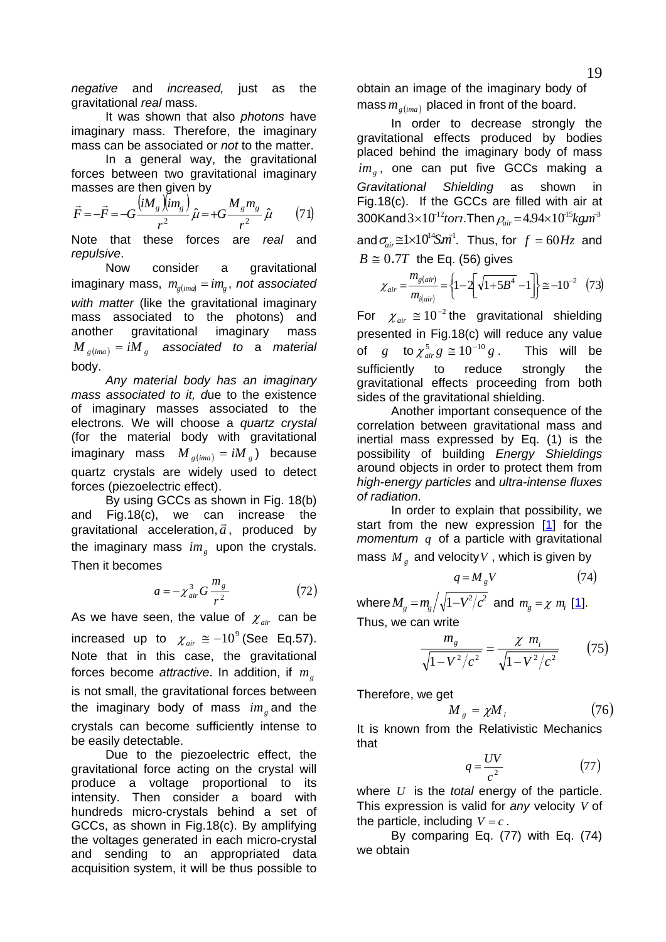<span id="page-18-0"></span>*negative* and *increased,* just as the gravitational *real* mass.

 It was shown that also *photons* have imaginary mass. Therefore, the imaginary mass can be associated or *not* to the matter.

 In a general way, the gravitational forces between two gravitational imaginary masses are then given by

$$
\vec{F} = -\vec{F} = -G \frac{\left(iM_g \right)\left(im_g\right)}{r^2} \hat{\mu} = +G \frac{M_g m_g}{r^2} \hat{\mu} \tag{71}
$$

Note that these forces are *real* and *repulsive*.

 Now consider a gravitational  $imaginary mass, m_{g(im}) = im_g$ , *not associated with matter* (like the gravitational imaginary mass associated to the photons) and another gravitational imaginary mass  ${M}_{g\, (ima)} = {i} {M}_{\rm \, g}$  associated to a material body.

 *Any material body has an imaginary mass associated to it, d*ue to the existence of imaginary masses associated to the electrons*.* We will choose a *quartz crystal* (for the material body with gravitational  $\text{imaginary}$  mass  $M_{g(\text{ima})} = iM_g$ ) because quartz crystals are widely used to detect forces (piezoelectric effect).

 By using GCCs as shown in Fig. 18(b) and Fig.18(c), we can increase the  $\frac{d}{dx}$  rig.  $\frac{d}{dx}$ ,  $\frac{d}{dx}$  and  $\frac{d}{dx}$  are by gravitational acceleration,  $\vec{a}$ , produced by the imaginary mass  $im<sub>g</sub>$  upon the crystals. Then it becomes

$$
a = -\chi_{air}^3 G \frac{m_g}{r^2} \tag{72}
$$

As we have seen, the value of  $\chi_{air}$  can be increased up to  $\chi_{\textit{air}} \cong -10^9$  (See Eq.57). Note that in this case, the gravitational forces become *attractive*. In addition, if *mg* is not small, the gravitational forces between the imaginary body of mass  $im<sub>g</sub>$  and the crystals can become sufficiently intense to be easily detectable.

 Due to the piezoelectric effect, the gravitational force acting on the crystal will produce a voltage proportional to its intensity. Then consider a board with hundreds micro-crystals behind a set of GCCs, as shown in Fig.18(c). By amplifying the voltages generated in each micro-crystal and sending to an appropriated data acquisition system, it will be thus possible to

obtain an image of the imaginary body of mass  $m_{\ell, [m]$  placed in front of the board.

 In order to decrease strongly the gravitational effects produced by bodies placed behind the imaginary body of mass im<sub>g</sub>, one can put five GCCs making a *Gravitational Shielding* as shown in Fig.18(c). If the GCCs are filled with air at  $300$ Kand $3\times10^{-12}$ torr.Then  $\rho_{air}$  = 4.94 $\times10^{-15}$ kg. $m^3$ and  $\sigma_{air} \cong 1 \times 10^{14}$ S $m^1$ . Thus, for  $f = 60$ H<sub>Z</sub> and  $B \cong 0.7T$  the Eq. (56) gives

$$
\chi_{air} = \frac{m_{g(air)}}{m_{i(air)}} = \left\{1 - 2\left[\sqrt{1 + 5B^4} - 1\right]\right\} \approx -10^{-2} \quad (73)
$$

For  $\chi_{air} \cong 10^{-2}$  the gravitational shielding presented in Fig.18(c) will reduce any value of  $g$  to  $\chi^5_{air} g \cong 10^{-10} g$ . This will be sufficiently to reduce strongly the gravitational effects proceeding from both sides of the gravitational shielding.

 Another important consequence of the correlation between gravitational mass and inertial mass expressed by Eq. (1) is the possibility of building *Energy Shieldings* around objects in order to protect them from *high-energy particles* and *ultra-intense fluxes of radiation*.

 In order to explain that possibility, we start from the new expression [[1](#page--1-0)] for the *momentum*  $q$  of a particle with gravitational mass  $M<sub>g</sub>$  and velocity V, which is given by

$$
q = M_{g}V\tag{74}
$$

where  $M_{g} = m_{g} / \sqrt{1 - V^{2} / c^{2}}$  $M_{g} = m_{g} / \sqrt{1 - V^{2} / c^{2}}$  $M_{g} = m_{g} / \sqrt{1 - V^{2} / c^{2}}$  and  $m_{g} = \chi m_{i}$  [<u>1</u>].

Thus, we can write

$$
\frac{m_g}{\sqrt{1 - V^2/c^2}} = \frac{\chi m_i}{\sqrt{1 - V^2/c^2}}
$$
(75)

Therefore, we get

$$
M_{g} = \chi M_{i} \tag{76}
$$

It is known from the Relativistic Mechanics that

$$
q = \frac{UV}{c^2} \tag{77}
$$

where  $U$  is the *total* energy of the particle. This expression is valid for *any* velocity *V* of the particle, including  $V = c$ .

 By comparing Eq. (77) with Eq. (74) we obtain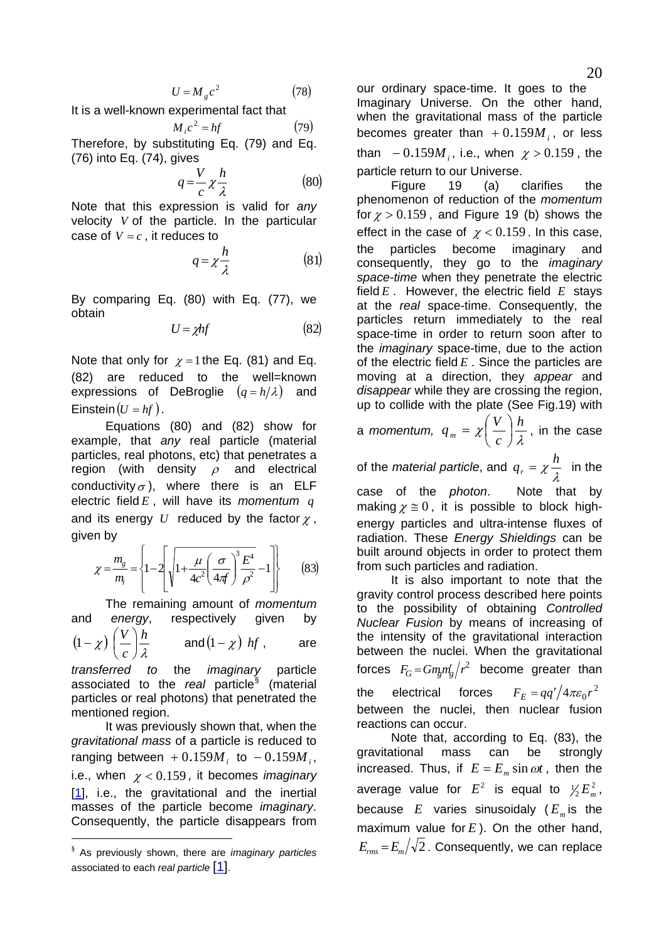$$
U = M_{g}c^{2} \tag{78}
$$

<span id="page-19-0"></span>It is a well-known experimental fact that

$$
M_i c^2 = hf \tag{79}
$$

Therefore, by substituting Eq. (79) and Eq. (76) into Eq. (74), gives

$$
q = \frac{V}{c} \chi \frac{h}{\lambda} \tag{80}
$$

Note that this expression is valid for *any* velocity  $V$  of the particle. In the particular case of  $V = c$ , it reduces to

$$
q = \chi \frac{h}{\lambda} \tag{81}
$$

By comparing Eq. (80) with Eq. (77), we obtain

$$
U = \chi h f \tag{82}
$$

Note that only for  $\chi = 1$  the Eq. (81) and Eq. (82) are reduced to the well=known expressions of DeBroglie  $(q = h/\lambda)$  and Einstein  $(U = hf)$ .

 Equations (80) and (82) show for example, that *any* real particle (material particles, real photons, etc) that penetrates a region (with density  $\rho$  and electrical conductivity  $\sigma$ ), where there is an ELF electric field *E* , will have its *momentum q* and its energy  $U$  reduced by the factor  $\chi$ , given by

$$
\chi = \frac{m_g}{m_i} = \left\{ 1 - 2 \left[ \sqrt{1 + \frac{\mu}{4c^2} \left( \frac{\sigma}{4\pi f} \right)^3 \frac{E^4}{\rho^2}} - 1 \right] \right\}
$$
(83)

 The remaining amount of *momentum* and *energy*, respectively given by

$$
(1-\chi)\left(\frac{V}{c}\right)\frac{h}{\lambda} \quad \text{and} (1-\chi) \text{ hf}, \quad \text{are}
$$

*transferred to* the *imaginary* particle associated to the *real* particle [§](#page-19-1) (material particles or real photons) that penetrated the mentioned region.

 It was previously shown that, when the *gravitational mass* of a particle is reduced to ranging between  $+0.159M_i$  to  $-0.159M_i$ , i.e., when  $\chi < 0.159$ , it becomes *imaginary* [[1\]](#page--1-0), i.e., the gravitational and the inertial masses of the particle become *imaginary*. Consequently, the particle disappears from

-

our ordinary space-time. It goes to the Imaginary Universe. On the other hand, when the gravitational mass of the particle becomes greater than  $+0.159M$ <sub>i</sub>, or less than  $-0.159M$ <sub>*i*</sub>, i.e., when  $\chi > 0.159$ , the particle return to our Universe.

 Figure 19 (a) clarifies the phenomenon of reduction of the *momentum* for  $\chi > 0.159$ , and Figure 19 (b) shows the effect in the case of  $\chi$  < 0.159. In this case, the particles become imaginary and consequently, they go to the *imaginary space-time* when they penetrate the electric field *E* . However, the electric field *E* stays at the *real* space-time. Consequently, the particles return immediately to the real space-time in order to return soon after to the *imaginary* space-time, due to the action of the electric field *E* . Since the particles are moving at a direction, they *appear* and *disappear* while they are crossing the region, up to collide with the plate (See Fig.19) with

a *momentum,*  $q_m = \chi \left( \frac{L}{c} \right) \frac{n}{\lambda}$ *h c*  $q_m = \chi\left(\frac{V}{I}\right)$ ⎠  $\left(\frac{V}{\cdot}\right)$ ⎝  $=\chi\left(\frac{V}{I}\right)\frac{h}{I}$ , in the case

of the *material particle*, and  $q_r = \chi \frac{\hbar}{\lambda}$  $q_r = \chi \frac{h}{r}$  in the case of the *photon*. Note that by

making  $\chi \equiv 0$ , it is possible to block highenergy particles and ultra-intense fluxes of radiation. These *Energy Shieldings* can be built around objects in order to protect them from such particles and radiation.

 It is also important to note that the gravity control process described here points to the possibility of obtaining *Controlled Nuclear Fusion* by means of increasing of the intensity of the gravitational interaction between the nuclei. When the gravitational forces  $F_G = Gm_g m_g / r^2$  become greater than the electrical forces  $F_F = \frac{qq'}{4\pi \varepsilon_0 r^2}$ between the nuclei, then nuclear fusion reactions can occur.

 Note that, according to Eq. (83), the gravitational mass can be strongly increased. Thus, if  $E = E_m \sin \omega t$ , then the average value for  $E^2$  is equal to  $\frac{1}{2} E_m^2$ , because  $E$  varies sinusoidaly ( $E_m$  is the maximum value for  $E$ ). On the other hand,  $E_{rms} = E_m/\sqrt{2}$ . Consequently, we can replace

<span id="page-19-1"></span><sup>§</sup> As previously shown, there are *imaginary particles* associated to each *real particle* [[1](#page--1-0)].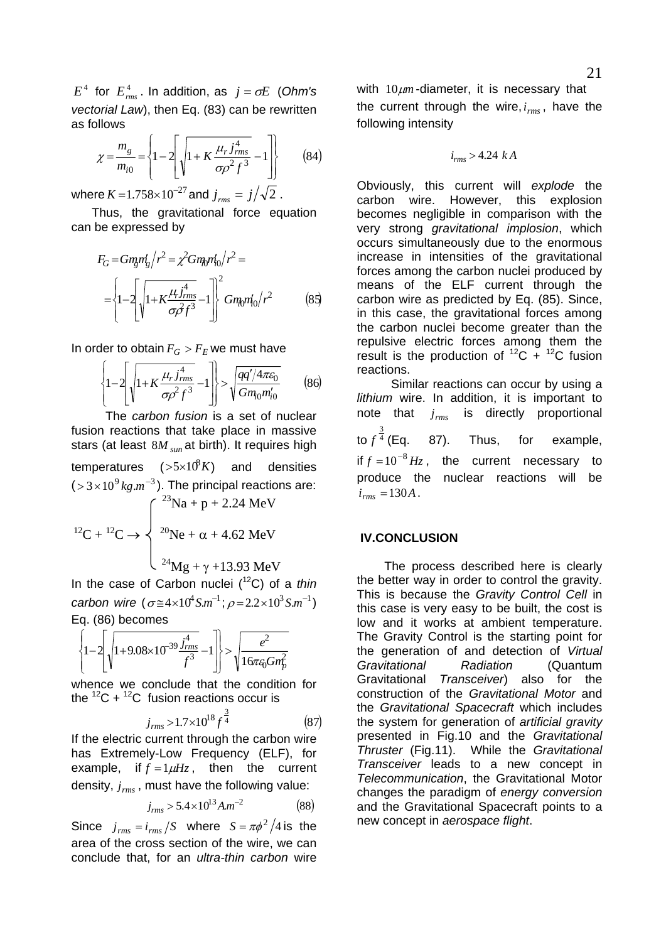<span id="page-20-0"></span>
$$
\chi = \frac{m_g}{m_{i0}} = \left\{ 1 - 2 \left[ \sqrt{1 + K \frac{\mu_r \dot{J}_{rms}^4}{\sigma \rho^2 f^3} - 1} \right] \right\}
$$
 (84)

where  $K = 1.758 \times 10^{-27}$  and  $j_{rms} = j/\sqrt{2}$ .

 Thus, the gravitational force equation can be expressed by

$$
F_G = Gm_g m_g / r^2 = \chi^2 Gm_g m_0 / r^2 =
$$
  
= 
$$
\left\{ 1 - 2 \left[ \sqrt{1 + K \frac{\mu_r f_{rms}^4}{\sigma \beta f^3} - 1} \right] \right\}^2 Gm_g m_0 / r^2
$$
 (85)

In order to obtain  $F_G > F_E$  we must have

$$
\left\{1-2\left[\sqrt{1+K\frac{\mu_r j_{rms}^4}{\sigma \rho^2 f^3}}-1\right]\right\} > \sqrt{\frac{qq'/4\pi \varepsilon_0}{Gm_{\text{t0}}m_{\text{t0}}'}}\tag{86}
$$

 The *carbon fusion* is a set of nuclear fusion reactions that take place in massive stars (at least  $8M_{sun}$ at birth). It requires high temperatures  $($ >5×10 $^8K$ ) and densities  $($  > 3  $\times$  10<sup>9</sup>  $kg.m^{-3}$ ). The principal reactions are:  $\int^{23}Na + p + 2.24 \text{ MeV}$  $12^1C + 12^1C \rightarrow \begin{cases} 20\text{Ne} + \alpha + 4.62 \text{ MeV} \end{cases}$  $2^{24}Mg + \gamma + 13.93 \text{ MeV}$ 

In the case of Carbon nuclei (12C) of a *thin carbon wire*  $(\sigma \cong 4 \times 10^4 S.m^{-1}; \rho = 2.2 \times 10^3 S.m^{-1})$ Eq. (86) becomes

$$
\left\{1-2\left[\sqrt{1+9.08\times10^{-39}\frac{j_{rms}^4}{f^3}}-1\right]\right\} > \sqrt{\frac{e^2}{16\pi\varepsilon_0 Gm_p^2}}
$$

whence we conclude that the condition for the  ${}^{12}C + {}^{12}C$  fusion reactions occur is

$$
j_{rms} > 1.7 \times 10^{18} f^{\frac{3}{4}}
$$
 (87)

If the electric current through the carbon wire has Extremely-Low Frequency (ELF), for example, if  $f = 1 \mu Hz$ , then the current density,  $j_{rms}$ , must have the following value:

$$
j_{rms} > 5.4 \times 10^{13} A.m^{-2}
$$
 (88)

Since  $j_{rms} = i_{rms}/S$  where  $S = \pi \phi^2 / 4$  is the area of the cross section of the wire, we can conclude that, for an *ultra-thin carbon* wire

with  $10 \mu m$ -diameter, it is necessary that the current through the wire,  $i_{rms}$ , have the following intensity

$$
i_{rms} > 4.24\ kA
$$

Obviously, this current will *explode* the carbon wire. However, this explosion becomes negligible in comparison with the very strong *gravitational implosion*, which occurs simultaneously due to the enormous increase in intensities of the gravitational forces among the carbon nuclei produced by means of the ELF current through the carbon wire as predicted by Eq. (85). Since, in this case, the gravitational forces among the carbon nuclei become greater than the repulsive electric forces among them the result is the production of  ${}^{12}C + {}^{12}C$  fusion reactions.

 Similar reactions can occur by using a *lithium* wire. In addition, it is important to note that  $j_{rms}$  is directly proportional to  $f^{\frac{3}{4}}$  (Eq. 87). Thus, for example, if  $f = 10^{-8}$  Hz, the current necessary to produce the nuclear reactions will be  $i_{rms} = 130A$ .

#### **IV.CONCLUSION**

 The process described here is clearly the better way in order to control the gravity. This is because the *Gravity Control Cell* in this case is very easy to be built, the cost is low and it works at ambient temperature. The Gravity Control is the starting point for the generation of and detection of *Virtual Gravitational Radiation* (Quantum Gravitational *Transceiver*) also for the construction of the *Gravitational Motor* and the *Gravitational Spacecraft* which includes the system for generation of *artificial gravity* presented in Fig.10 and the *Gravitational Thruster* (Fig.11). While the *Gravitational Transceiver* leads to a new concept in *Telecommunication*, the Gravitational Motor changes the paradigm of *energy conversion* and the Gravitational Spacecraft points to a new concept in *aerospace flight*.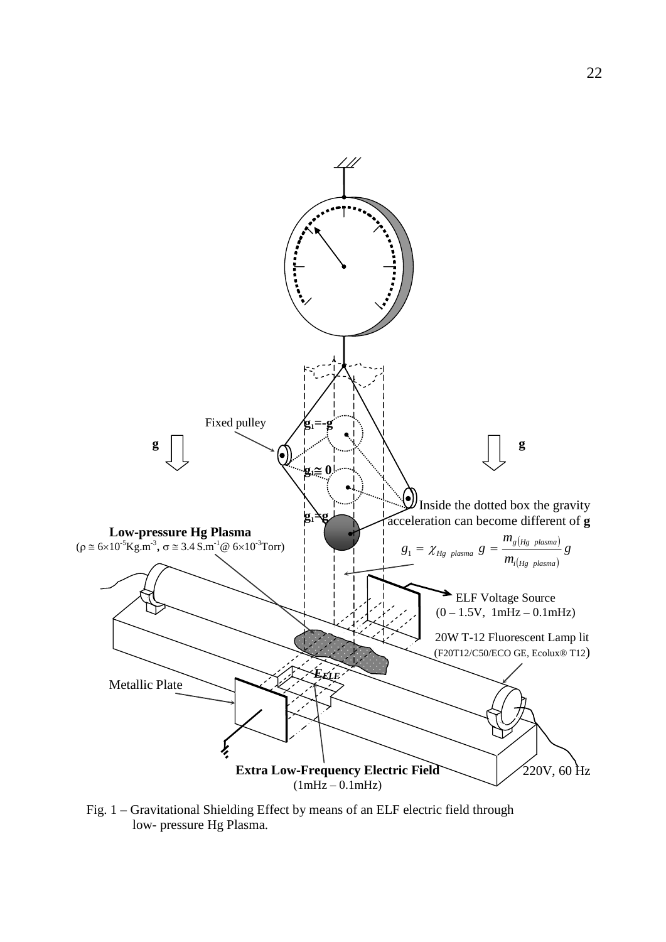

Fig. 1 – Gravitational Shielding Effect by means of an ELF electric field through low- pressure Hg Plasma.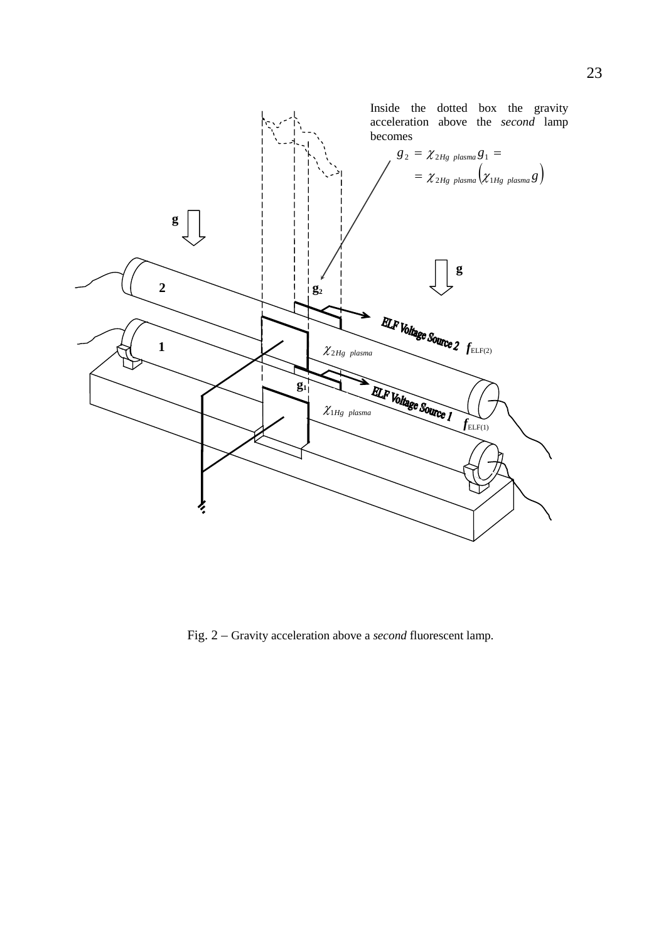

Fig. 2 – Gravity acceleration above a *second* fluorescent lamp.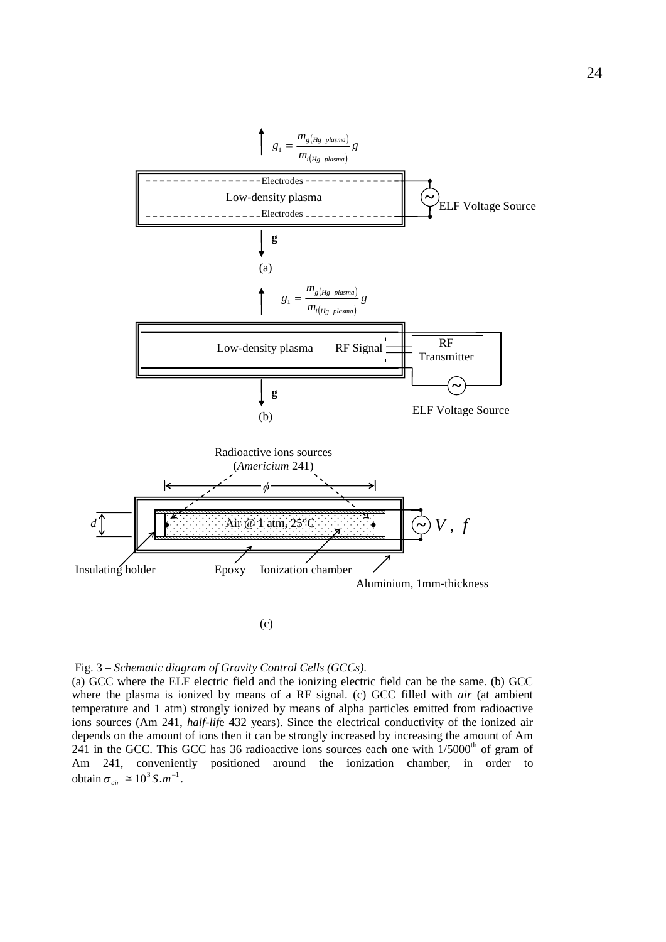

Fig. 3 – *Schematic diagram of Gravity Control Cells (GCCs)*.

(a) GCC where the ELF electric field and the ionizing electric field can be the same. (b) GCC where the plasma is ionized by means of a RF signal. (c) GCC filled with *air* (at ambient temperature and 1 atm) strongly ionized by means of alpha particles emitted from radioactive ions sources (Am 241, *half-lif*e 432 years). Since the electrical conductivity of the ionized air depends on the amount of ions then it can be strongly increased by increasing the amount of Am 241 in the GCC. This GCC has 36 radioactive ions sources each one with  $1/5000<sup>th</sup>$  of gram of Am 241, conveniently positioned around the ionization chamber, in order to obtain  $\sigma_{air} \approx 10^3 S.m^{-1}$ .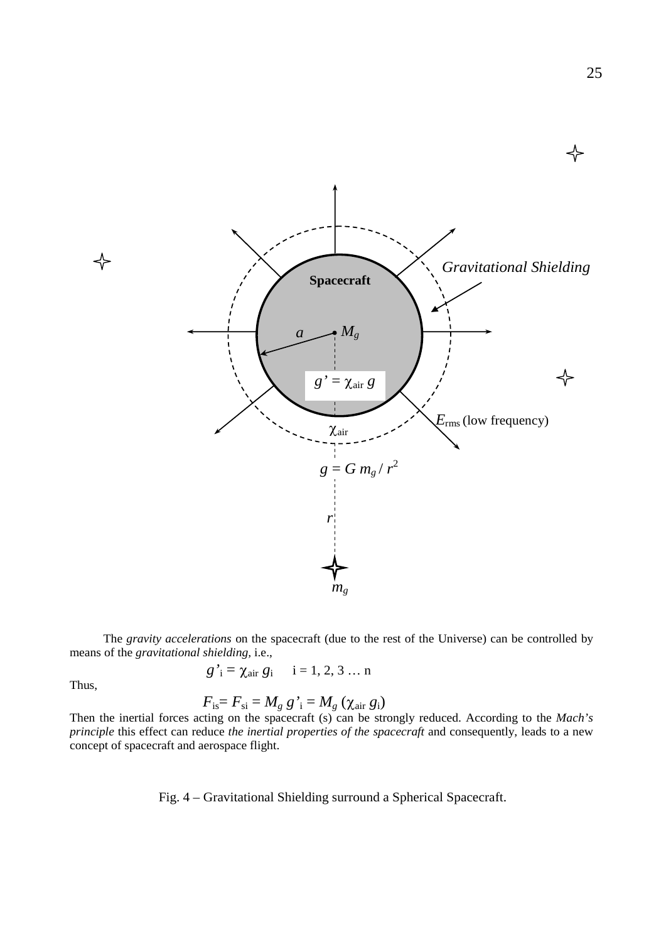

 The *gravity accelerations* on the spacecraft (due to the rest of the Universe) can be controlled by means of the *gravitational shielding,* i.e.,

$$
g'_i = \chi_{\text{air}} g_i
$$
  $i = 1, 2, 3 ... n$ 

Thus,

$$
F_{\rm is} = F_{\rm si} = M_g g'_{\rm i} = M_g (\chi_{\rm air} g_{\rm i})
$$

Then the inertial forces acting on the spacecraft (s) can be strongly reduced. According to the *Mach's principle* this effect can reduce *the inertial properties of the spacecraft* and consequently, leads to a new concept of spacecraft and aerospace flight.

Fig. 4 – Gravitational Shielding surround a Spherical Spacecraft.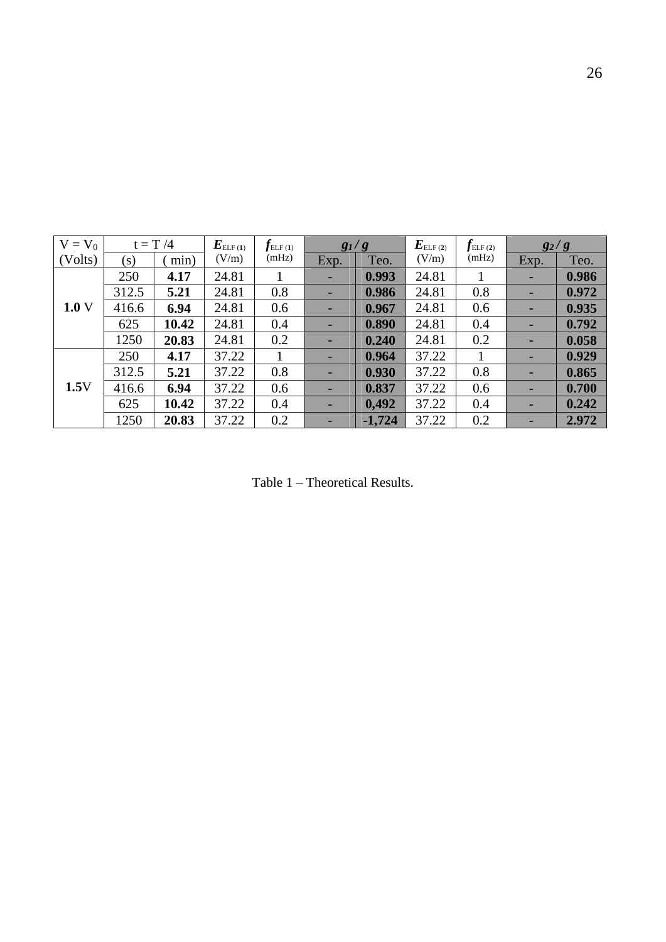| $V = V_0$ |       | $t = T/4$ | $\bm{E}_{{\rm{ELF (1)}}}$ |       | $g_1/g$ |          | $\bm{E}_{\mathrm{ELF (2)}}$ | $f_{\text{\tiny{ELF (2)}}}$ | $g_2/g$ |       |
|-----------|-------|-----------|---------------------------|-------|---------|----------|-----------------------------|-----------------------------|---------|-------|
| (Volts)   | (s)   | min)      | (V/m)                     | (mHz) | Exp.    | Teo.     | (V/m)                       | (mHz)                       | Exp.    | Teo.  |
|           | 250   | 4.17      | 24.81                     |       | ٠       | 0.993    | 24.81                       |                             |         | 0.986 |
|           | 312.5 | 5.21      | 24.81                     | 0.8   | ٠       | 0.986    | 24.81                       | 0.8                         |         | 0.972 |
| 1.0V      | 416.6 | 6.94      | 24.81                     | 0.6   | -       | 0.967    | 24.81                       | 0.6                         |         | 0.935 |
|           | 625   | 10.42     | 24.81                     | 0.4   | -       | 0.890    | 24.81                       | 0.4                         |         | 0.792 |
|           | 1250  | 20.83     | 24.81                     | 0.2   |         | 0.240    | 24.81                       | 0.2                         |         | 0.058 |
|           | 250   | 4.17      | 37.22                     |       | -       | 0.964    | 37.22                       |                             |         | 0.929 |
|           | 312.5 | 5.21      | 37.22                     | 0.8   | ٠       | 0.930    | 37.22                       | 0.8                         |         | 0.865 |
| 1.5V      | 416.6 | 6.94      | 37.22                     | 0.6   | ٠       | 0.837    | 37.22                       | 0.6                         |         | 0.700 |
|           | 625   | 10.42     | 37.22                     | 0.4   | ٠       | 0,492    | 37.22                       | 0.4                         |         | 0.242 |
|           | 1250  | 20.83     | 37.22                     | 0.2   |         | $-1,724$ | 37.22                       | 0.2                         |         | 2.972 |

Table 1 – Theoretical Results.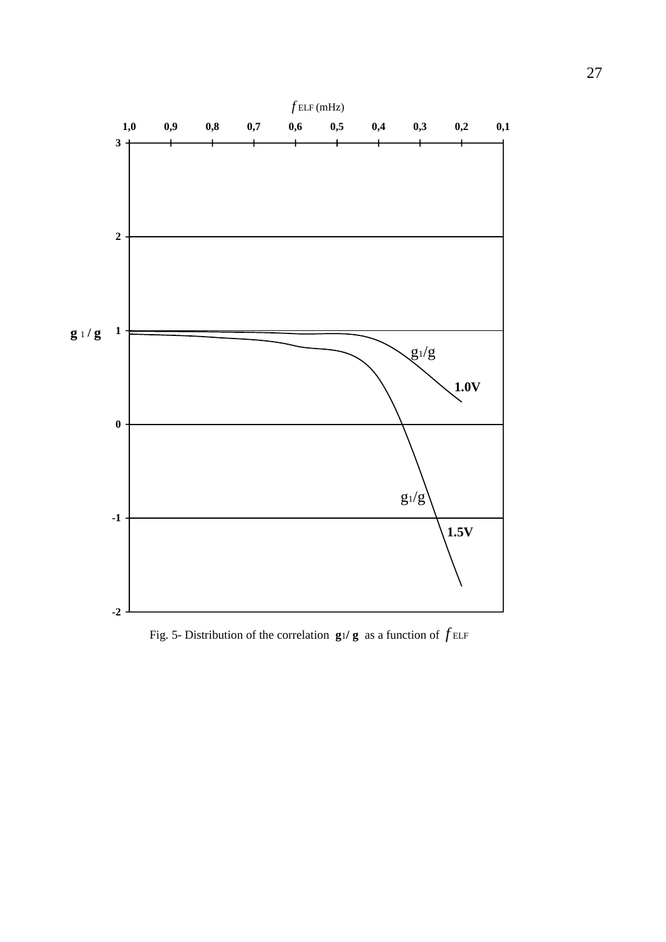

Fig. 5- Distribution of the correlation  $g_1/g$  as a function of  $f_{\text{ELF}}$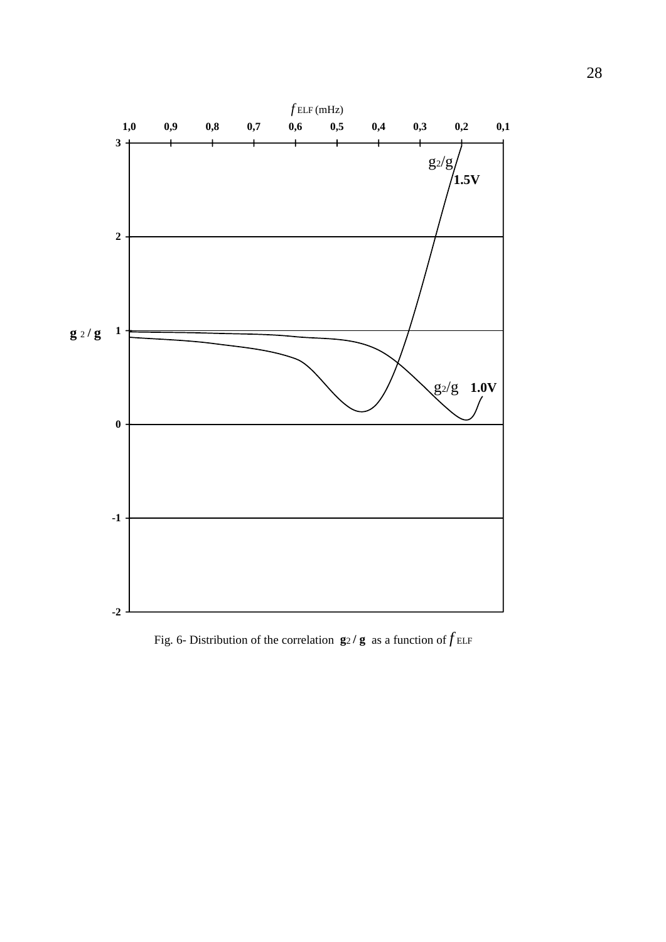

Fig. 6- Distribution of the correlation  $g_2/g$  as a function of  $f_{\text{ELF}}$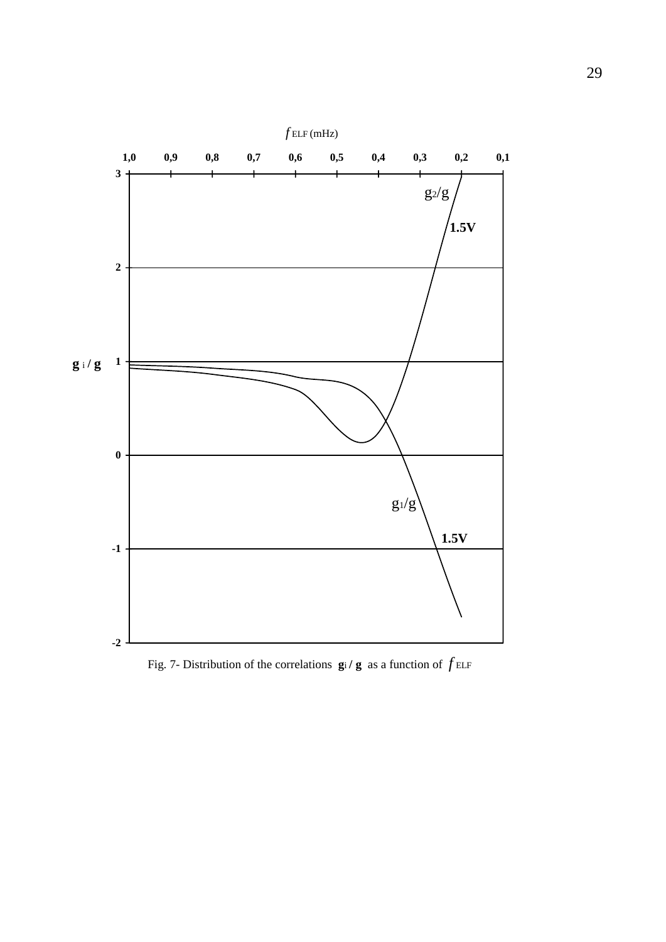

Fig. 7- Distribution of the correlations  $\mathbf{g}$ i **/**  $\mathbf{g}$  as a function of  $f$  ELF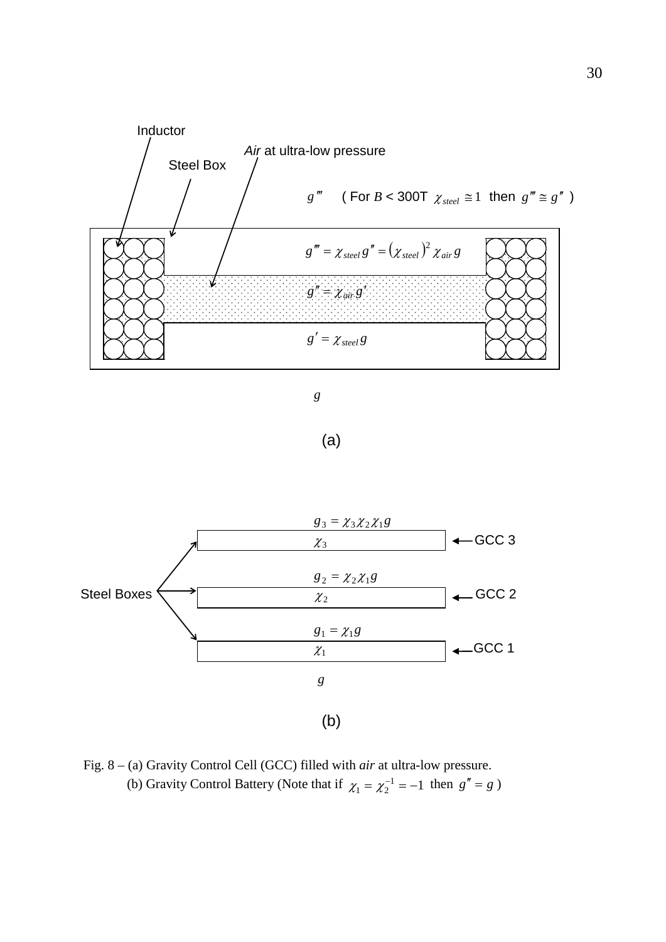



(a)



Fig. 8 – (a) Gravity Control Cell (GCC) filled with *air* at ultra-low pressure. (b) Gravity Control Battery (Note that if  $\chi_1 = \chi_2^{-1} = -1$  then  $g'' = g$ )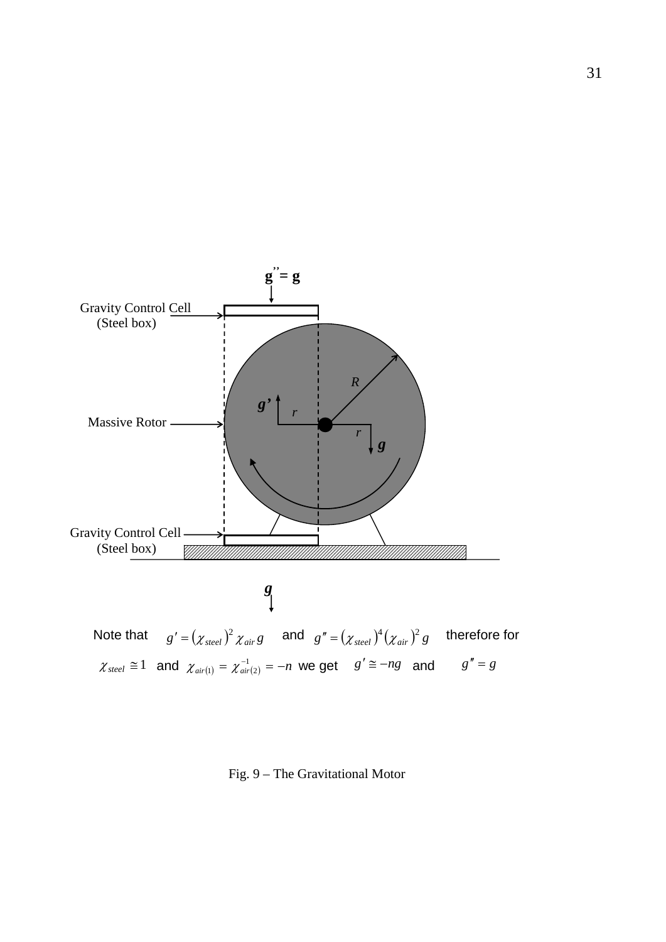

Fig. 9 – The Gravitational Motor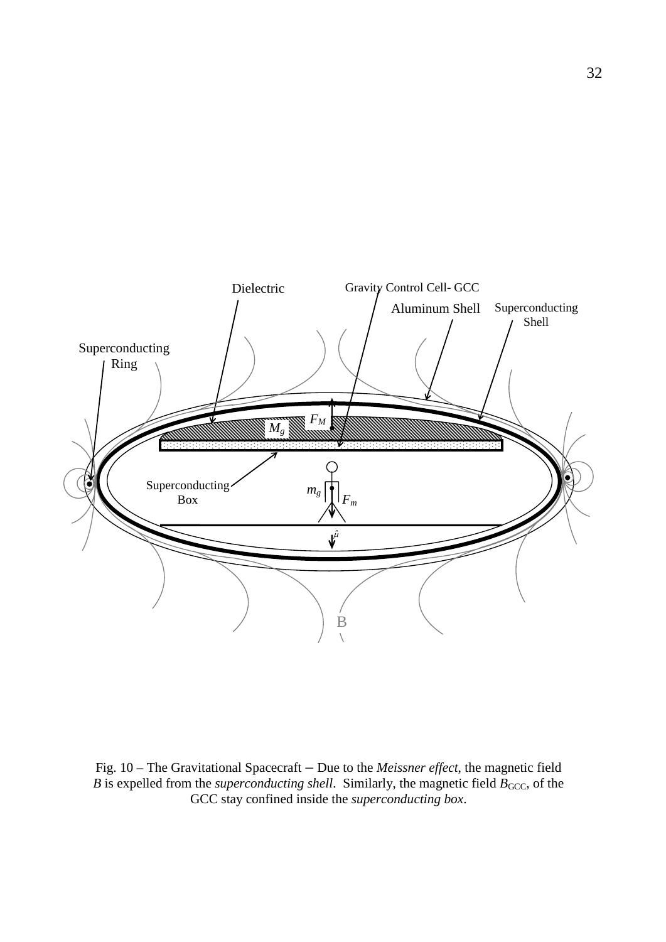

Fig. 10 – The Gravitational Spacecraft – Due to the *Meissner effect*, the magnetic field *B* is expelled from the *superconducting shell*. Similarly, the magnetic field  $B_{\text{GCC}}$ , of the GCC stay confined inside the *superconducting box*.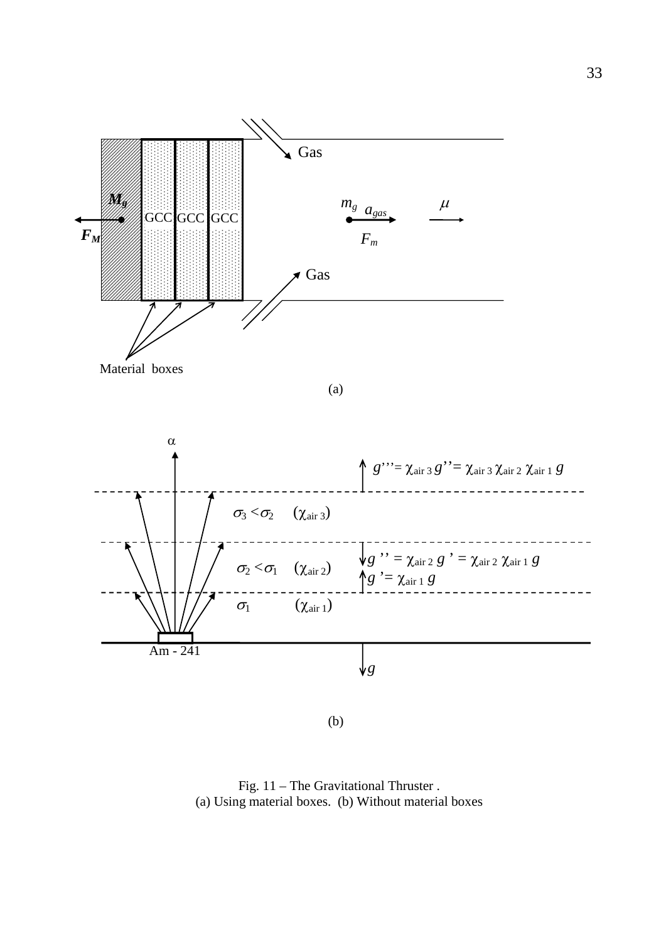

(b)

Fig. 11 – The Gravitational Thruster . (a) Using material boxes. (b) Without material boxes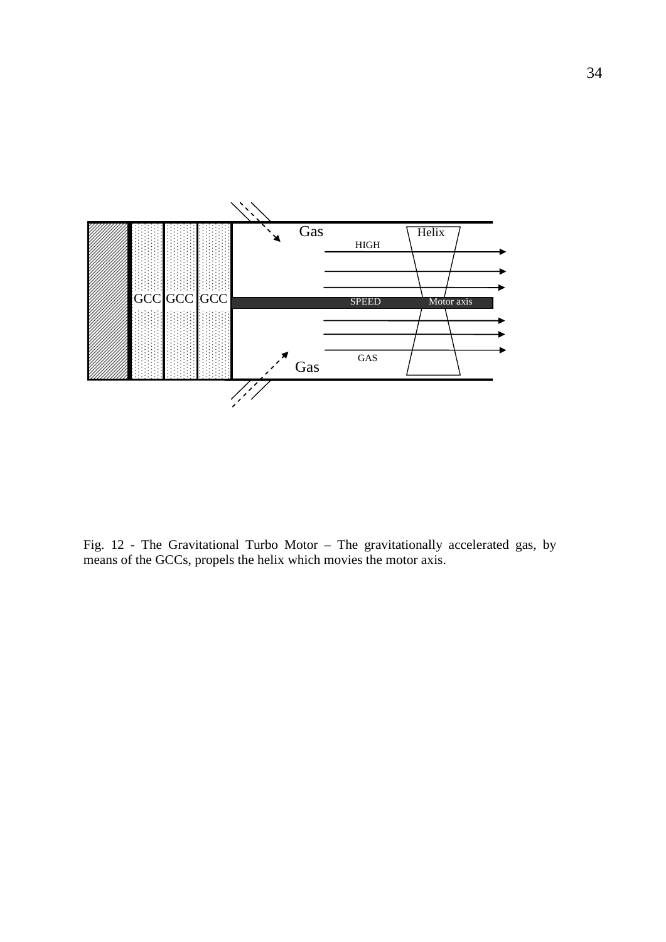

Fig. 12 - The Gravitational Turbo Motor – The gravitationally accelerated gas, by means of the GCCs, propels the helix which movies the motor axis.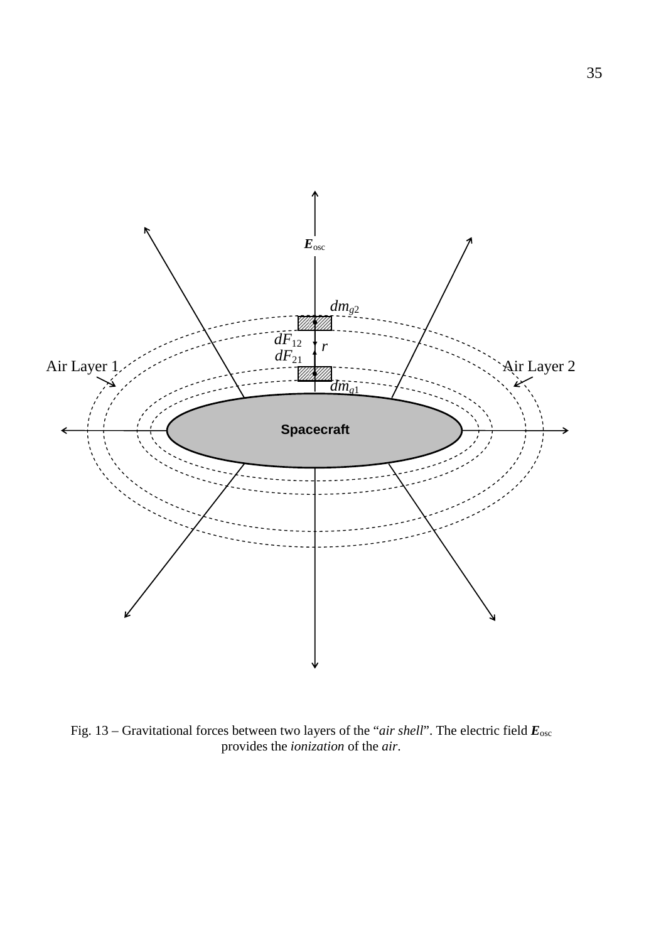

Fig. 13 – Gravitational forces between two layers of the "*air shell*". The electric field *E*osc provides the *ionization* of the *air*.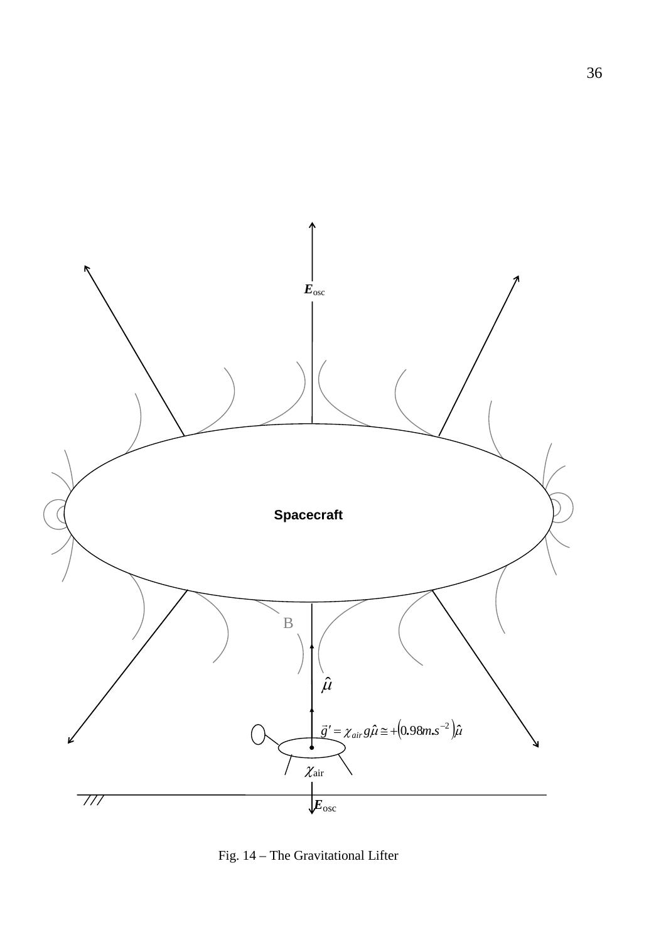

Fig. 14 – The Gravitational Lifter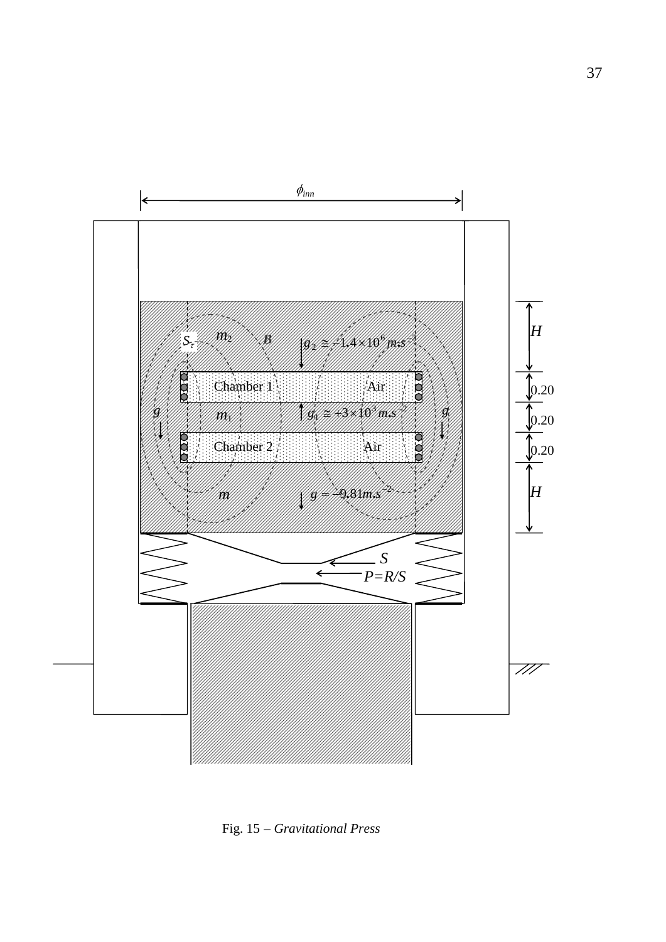

Fig. 15 – *Gravitational Press*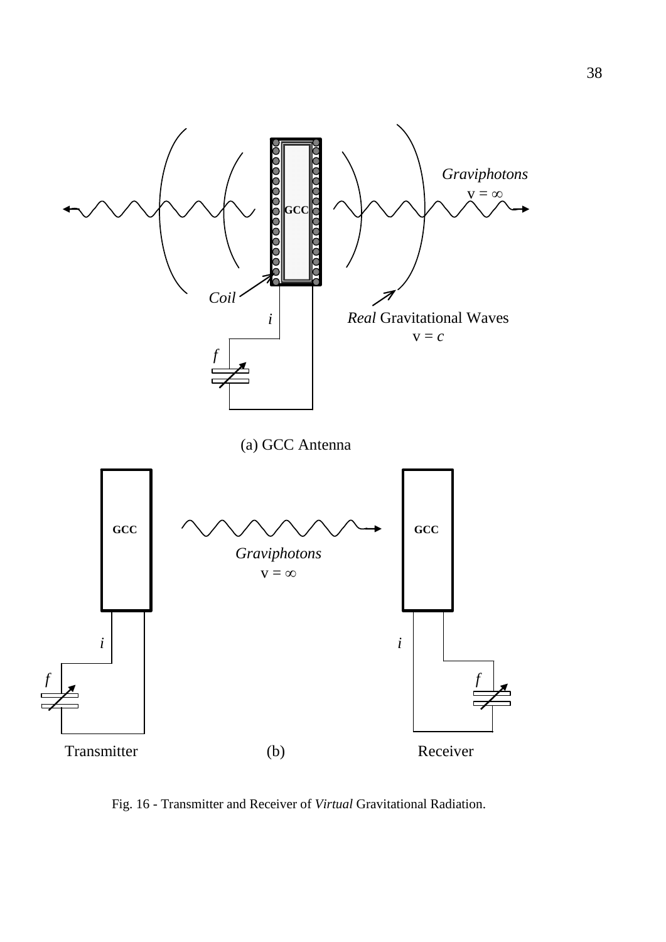

Fig. 16 - Transmitter and Receiver of *Virtual* Gravitational Radiation.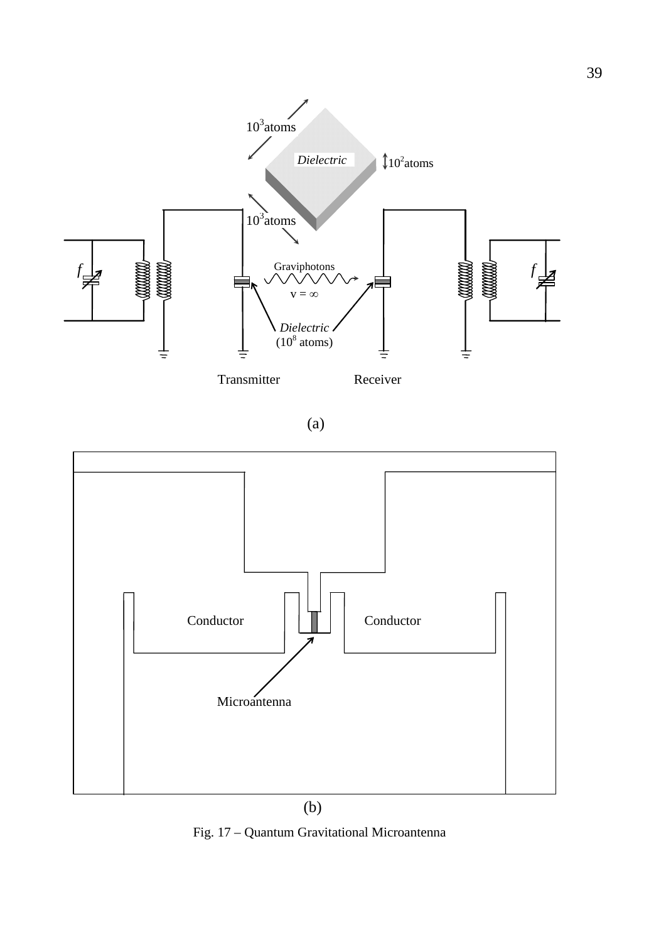

(a)



Fig. 17 – Quantum Gravitational Microantenna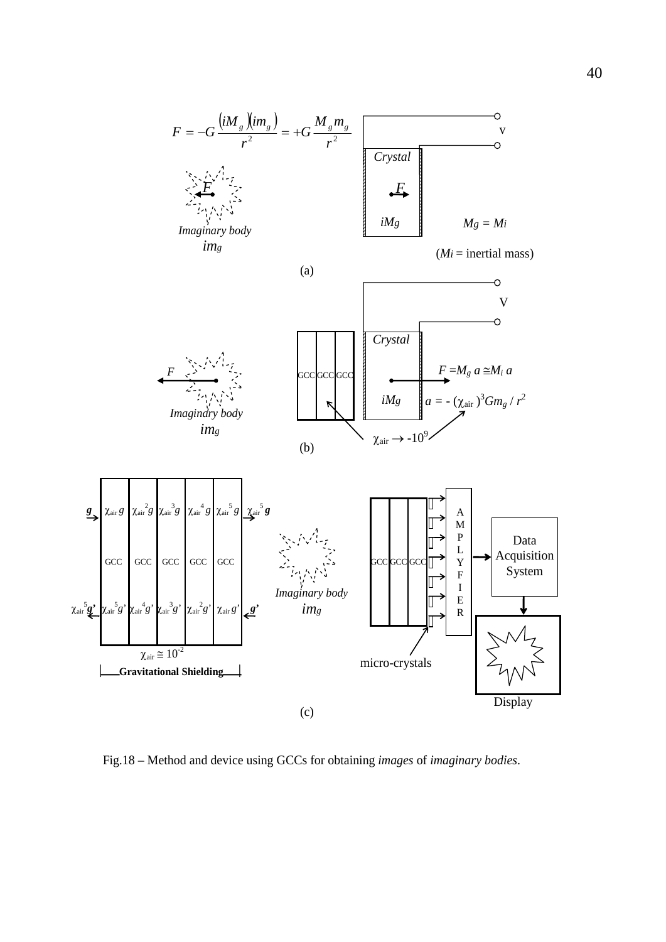

Fig.18 – Method and device using GCCs for obtaining *images* of *imaginary bodies*.